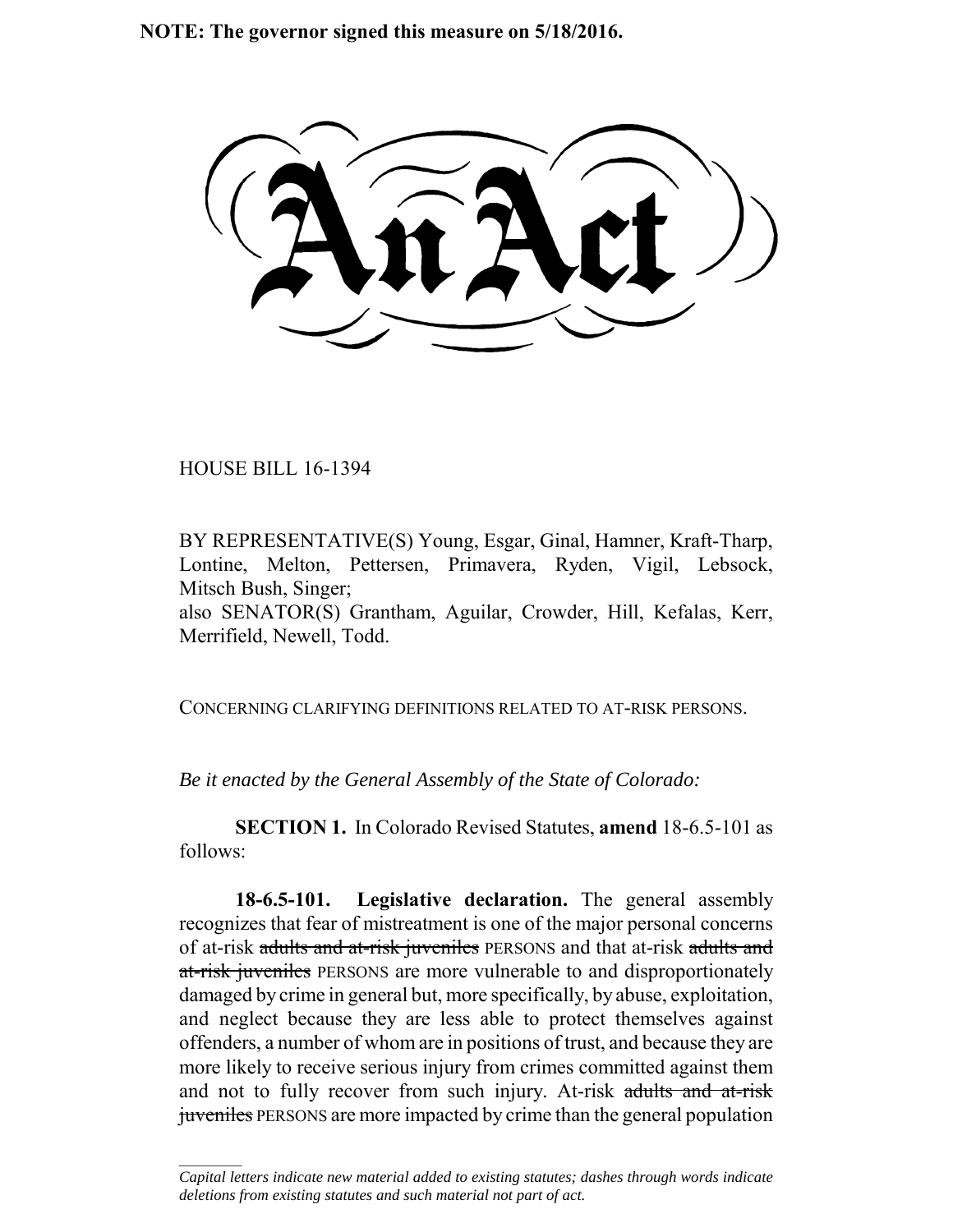**NOTE: The governor signed this measure on 5/18/2016.**

HOUSE BILL 16-1394

 $\frac{1}{2}$ 

BY REPRESENTATIVE(S) Young, Esgar, Ginal, Hamner, Kraft-Tharp, Lontine, Melton, Pettersen, Primavera, Ryden, Vigil, Lebsock, Mitsch Bush, Singer;

also SENATOR(S) Grantham, Aguilar, Crowder, Hill, Kefalas, Kerr, Merrifield, Newell, Todd.

CONCERNING CLARIFYING DEFINITIONS RELATED TO AT-RISK PERSONS.

*Be it enacted by the General Assembly of the State of Colorado:*

**SECTION 1.** In Colorado Revised Statutes, **amend** 18-6.5-101 as follows:

**18-6.5-101. Legislative declaration.** The general assembly recognizes that fear of mistreatment is one of the major personal concerns of at-risk adults and at-risk juveniles PERSONS and that at-risk adults and at-risk juveniles PERSONS are more vulnerable to and disproportionately damaged by crime in general but, more specifically, by abuse, exploitation, and neglect because they are less able to protect themselves against offenders, a number of whom are in positions of trust, and because they are more likely to receive serious injury from crimes committed against them and not to fully recover from such injury. At-risk adults and at-risk juveniles PERSONS are more impacted by crime than the general population

*Capital letters indicate new material added to existing statutes; dashes through words indicate deletions from existing statutes and such material not part of act.*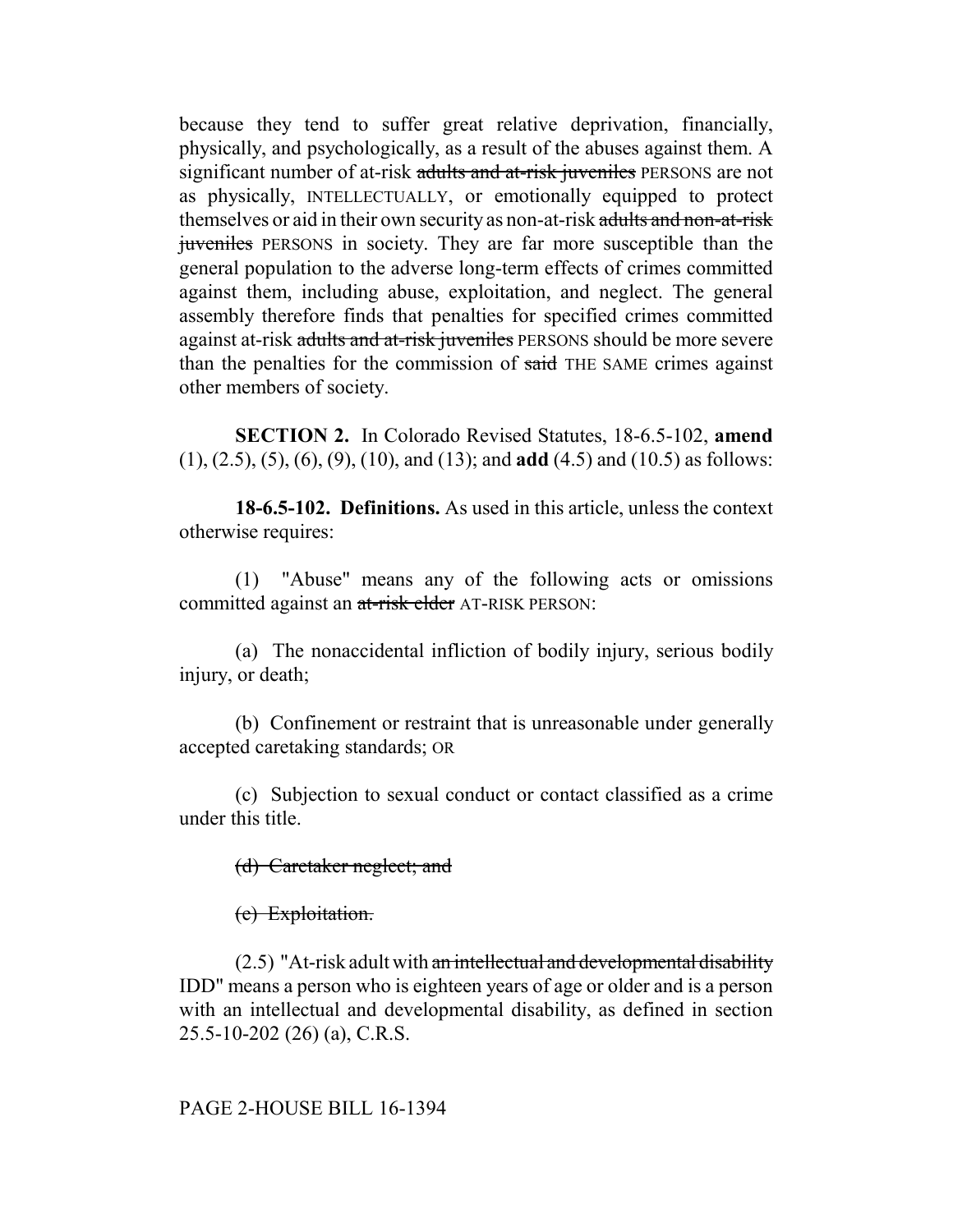because they tend to suffer great relative deprivation, financially, physically, and psychologically, as a result of the abuses against them. A significant number of at-risk adults and at-risk juveniles PERSONS are not as physically, INTELLECTUALLY, or emotionally equipped to protect themselves or aid in their own security as non-at-risk adults and non-at-risk juveniles PERSONS in society. They are far more susceptible than the general population to the adverse long-term effects of crimes committed against them, including abuse, exploitation, and neglect. The general assembly therefore finds that penalties for specified crimes committed against at-risk adults and at-risk juveniles PERSONS should be more severe than the penalties for the commission of said THE SAME crimes against other members of society.

**SECTION 2.** In Colorado Revised Statutes, 18-6.5-102, **amend** (1), (2.5), (5), (6), (9), (10), and (13); and **add** (4.5) and (10.5) as follows:

**18-6.5-102. Definitions.** As used in this article, unless the context otherwise requires:

(1) "Abuse" means any of the following acts or omissions committed against an at-risk elder AT-RISK PERSON:

(a) The nonaccidental infliction of bodily injury, serious bodily injury, or death;

(b) Confinement or restraint that is unreasonable under generally accepted caretaking standards; OR

(c) Subjection to sexual conduct or contact classified as a crime under this title.

(d) Caretaker neglect; and

(e) Exploitation.

 $(2.5)$  "At-risk adult with an intellectual and developmental disability IDD" means a person who is eighteen years of age or older and is a person with an intellectual and developmental disability, as defined in section 25.5-10-202 (26) (a), C.R.S.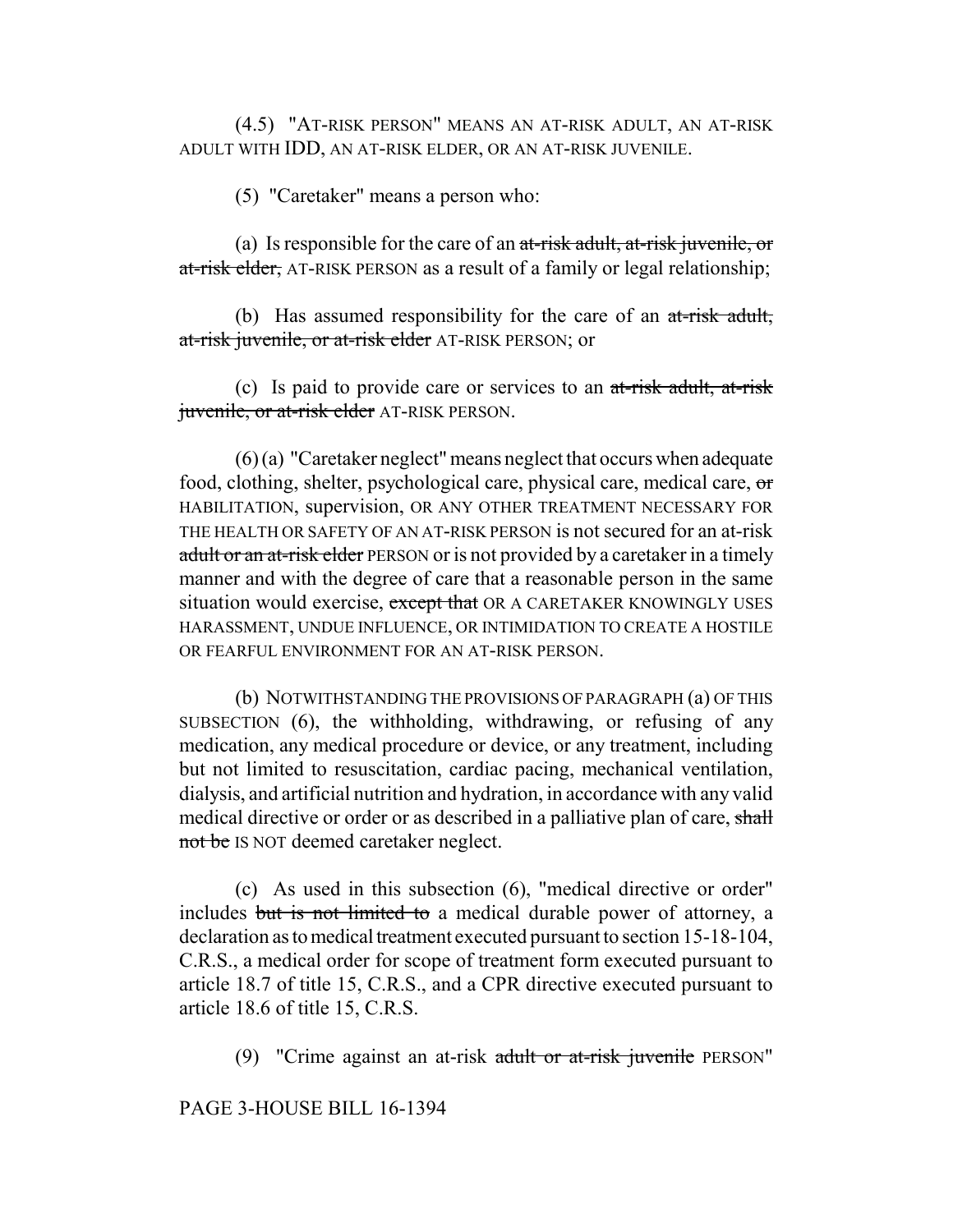(4.5) "AT-RISK PERSON" MEANS AN AT-RISK ADULT, AN AT-RISK ADULT WITH IDD, AN AT-RISK ELDER, OR AN AT-RISK JUVENILE.

(5) "Caretaker" means a person who:

(a) Is responsible for the care of an  $at$ -risk adult, at-risk juvenile, or at-risk elder, AT-RISK PERSON as a result of a family or legal relationship;

(b) Has assumed responsibility for the care of an  $at$ -risk adult, at-risk juvenile, or at-risk elder AT-RISK PERSON; or

(c) Is paid to provide care or services to an at-risk adult, at-risk juvenile, or at-risk elder AT-RISK PERSON.

(6) (a) "Caretaker neglect" means neglect that occurs when adequate food, clothing, shelter, psychological care, physical care, medical care, or HABILITATION, supervision, OR ANY OTHER TREATMENT NECESSARY FOR THE HEALTH OR SAFETY OF AN AT-RISK PERSON is not secured for an at-risk adult or an at-risk elder PERSON or is not provided by a caretaker in a timely manner and with the degree of care that a reasonable person in the same situation would exercise, except that OR A CARETAKER KNOWINGLY USES HARASSMENT, UNDUE INFLUENCE, OR INTIMIDATION TO CREATE A HOSTILE OR FEARFUL ENVIRONMENT FOR AN AT-RISK PERSON.

(b) NOTWITHSTANDING THE PROVISIONS OF PARAGRAPH (a) OF THIS SUBSECTION (6), the withholding, withdrawing, or refusing of any medication, any medical procedure or device, or any treatment, including but not limited to resuscitation, cardiac pacing, mechanical ventilation, dialysis, and artificial nutrition and hydration, in accordance with any valid medical directive or order or as described in a palliative plan of care, shall not be IS NOT deemed caretaker neglect.

(c) As used in this subsection (6), "medical directive or order" includes but is not limited to a medical durable power of attorney, a declaration as to medical treatment executed pursuant to section 15-18-104, C.R.S., a medical order for scope of treatment form executed pursuant to article 18.7 of title 15, C.R.S., and a CPR directive executed pursuant to article 18.6 of title 15, C.R.S.

(9) "Crime against an at-risk adult or at-risk juvenile PERSON"

PAGE 3-HOUSE BILL 16-1394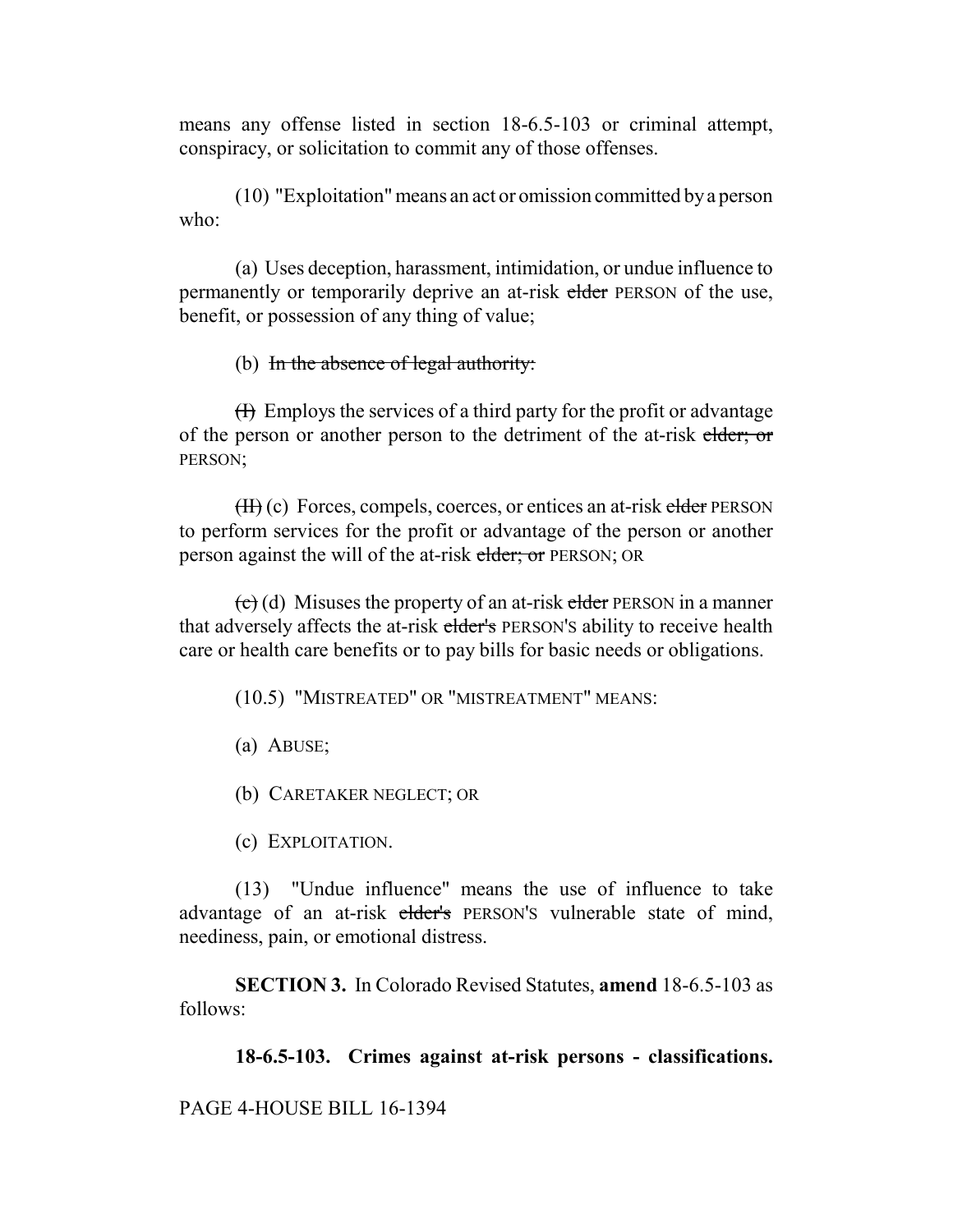means any offense listed in section 18-6.5-103 or criminal attempt, conspiracy, or solicitation to commit any of those offenses.

(10) "Exploitation" means an act or omission committed by a person who:

(a) Uses deception, harassment, intimidation, or undue influence to permanently or temporarily deprive an at-risk elder PERSON of the use, benefit, or possession of any thing of value;

# (b) In the absence of legal authority:

 $(H)$  Employs the services of a third party for the profit or advantage of the person or another person to the detriment of the at-risk elder; or PERSON;

 $(H)$  (c) Forces, compels, coerces, or entices an at-risk elder PERSON to perform services for the profit or advantage of the person or another person against the will of the at-risk elder; or PERSON; OR

 $\left(\frac{c}{c}\right)$  (d) Misuses the property of an at-risk elder PERSON in a manner that adversely affects the at-risk elder's PERSON'S ability to receive health care or health care benefits or to pay bills for basic needs or obligations.

(10.5) "MISTREATED" OR "MISTREATMENT" MEANS:

(a) ABUSE;

(b) CARETAKER NEGLECT; OR

(c) EXPLOITATION.

(13) "Undue influence" means the use of influence to take advantage of an at-risk elder's PERSON'S vulnerable state of mind, neediness, pain, or emotional distress.

**SECTION 3.** In Colorado Revised Statutes, **amend** 18-6.5-103 as follows:

**18-6.5-103. Crimes against at-risk persons - classifications.**

PAGE 4-HOUSE BILL 16-1394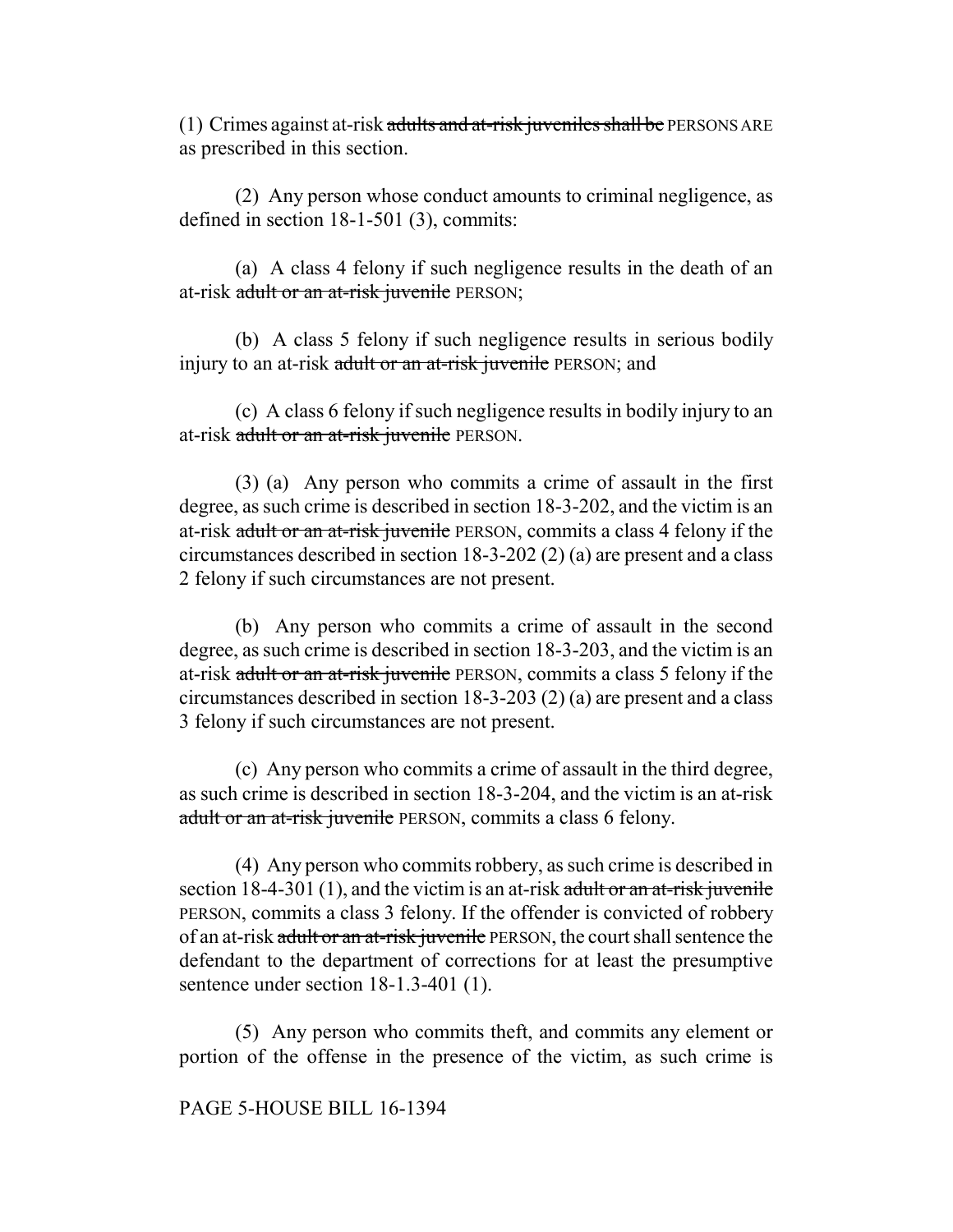(1) Crimes against at-risk adults and at-risk juveniles shall be PERSONS ARE as prescribed in this section.

(2) Any person whose conduct amounts to criminal negligence, as defined in section 18-1-501 (3), commits:

(a) A class 4 felony if such negligence results in the death of an at-risk adult or an at-risk juvenile PERSON;

(b) A class 5 felony if such negligence results in serious bodily injury to an at-risk adult or an at-risk juvenile PERSON; and

(c) A class 6 felony if such negligence results in bodily injury to an at-risk adult or an at-risk juvenile PERSON.

(3) (a) Any person who commits a crime of assault in the first degree, as such crime is described in section 18-3-202, and the victim is an at-risk adult or an at-risk juvenile PERSON, commits a class 4 felony if the circumstances described in section 18-3-202 (2) (a) are present and a class 2 felony if such circumstances are not present.

(b) Any person who commits a crime of assault in the second degree, as such crime is described in section 18-3-203, and the victim is an at-risk adult or an at-risk juvenile PERSON, commits a class 5 felony if the circumstances described in section 18-3-203 (2) (a) are present and a class 3 felony if such circumstances are not present.

(c) Any person who commits a crime of assault in the third degree, as such crime is described in section 18-3-204, and the victim is an at-risk adult or an at-risk juvenile PERSON, commits a class 6 felony.

(4) Any person who commits robbery, as such crime is described in section  $18-4-301$  (1), and the victim is an at-risk adult or an at-risk juvenile PERSON, commits a class 3 felony. If the offender is convicted of robbery of an at-risk adult or an at-risk juvenile PERSON, the court shall sentence the defendant to the department of corrections for at least the presumptive sentence under section 18-1.3-401 (1).

(5) Any person who commits theft, and commits any element or portion of the offense in the presence of the victim, as such crime is

### PAGE 5-HOUSE BILL 16-1394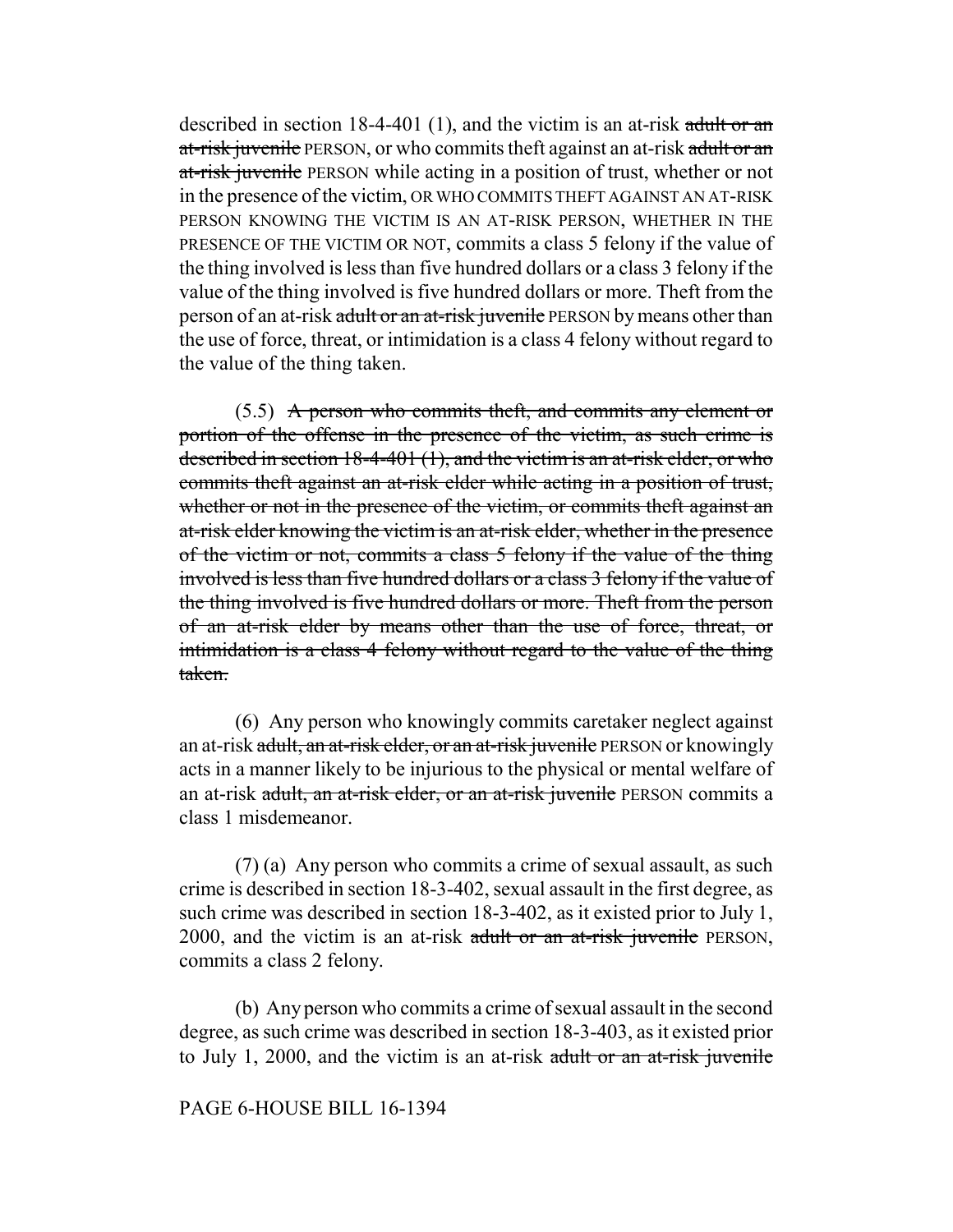described in section 18-4-401 (1), and the victim is an at-risk adult or an at-risk juvenile PERSON, or who commits theft against an at-risk adult or an at-risk juvenile PERSON while acting in a position of trust, whether or not in the presence of the victim, OR WHO COMMITS THEFT AGAINST AN AT-RISK PERSON KNOWING THE VICTIM IS AN AT-RISK PERSON, WHETHER IN THE PRESENCE OF THE VICTIM OR NOT, commits a class 5 felony if the value of the thing involved is less than five hundred dollars or a class 3 felony if the value of the thing involved is five hundred dollars or more. Theft from the person of an at-risk adult or an at-risk juvenile PERSON by means other than the use of force, threat, or intimidation is a class 4 felony without regard to the value of the thing taken.

(5.5) A person who commits theft, and commits any element or portion of the offense in the presence of the victim, as such crime is described in section 18-4-401 (1), and the victim is an at-risk elder, or who commits theft against an at-risk elder while acting in a position of trust, whether or not in the presence of the victim, or commits theft against an at-risk elder knowing the victim is an at-risk elder, whether in the presence of the victim or not, commits a class 5 felony if the value of the thing involved is less than five hundred dollars or a class 3 felony if the value of the thing involved is five hundred dollars or more. Theft from the person of an at-risk elder by means other than the use of force, threat, or intimidation is a class 4 felony without regard to the value of the thing taken.

(6) Any person who knowingly commits caretaker neglect against an at-risk adult, an at-risk elder, or an at-risk juvenile PERSON or knowingly acts in a manner likely to be injurious to the physical or mental welfare of an at-risk adult, an at-risk elder, or an at-risk juvenile PERSON commits a class 1 misdemeanor.

(7) (a) Any person who commits a crime of sexual assault, as such crime is described in section 18-3-402, sexual assault in the first degree, as such crime was described in section 18-3-402, as it existed prior to July 1, 2000, and the victim is an at-risk adult or an at-risk juvenile PERSON, commits a class 2 felony.

(b) Any person who commits a crime of sexual assault in the second degree, as such crime was described in section 18-3-403, as it existed prior to July 1, 2000, and the victim is an at-risk adult or an at-risk juvenile

#### PAGE 6-HOUSE BILL 16-1394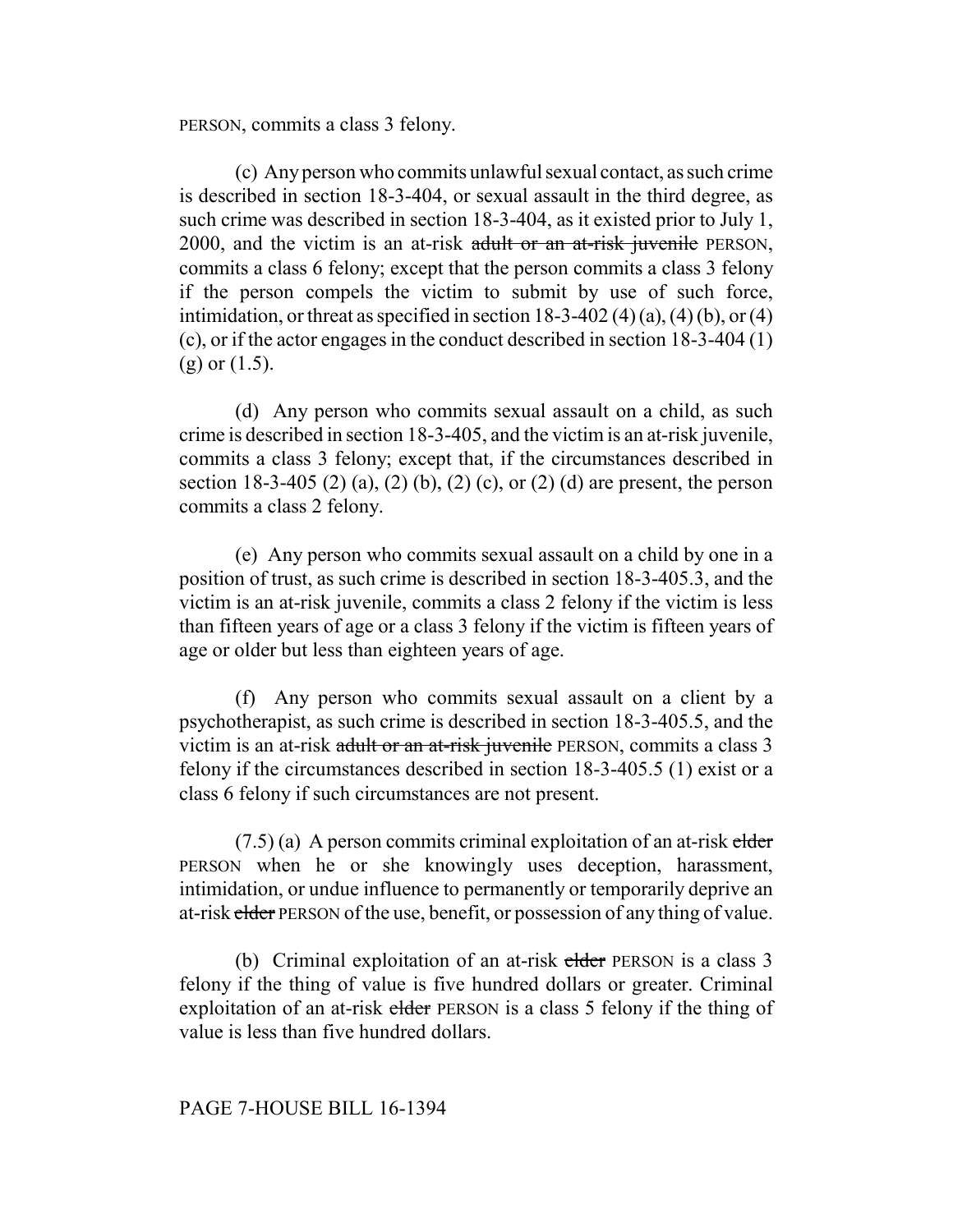PERSON, commits a class 3 felony.

(c) Any person who commits unlawful sexual contact, as such crime is described in section 18-3-404, or sexual assault in the third degree, as such crime was described in section 18-3-404, as it existed prior to July 1, 2000, and the victim is an at-risk adult or an at-risk juvenile PERSON, commits a class 6 felony; except that the person commits a class 3 felony if the person compels the victim to submit by use of such force, intimidation, or threat as specified in section  $18-3-402(4)(a)$ ,  $(4)(b)$ , or  $(4)$ (c), or if the actor engages in the conduct described in section 18-3-404 (1)  $(g)$  or  $(1.5)$ .

(d) Any person who commits sexual assault on a child, as such crime is described in section 18-3-405, and the victim is an at-risk juvenile, commits a class 3 felony; except that, if the circumstances described in section 18-3-405 (2) (a), (2) (b), (2) (c), or (2) (d) are present, the person commits a class 2 felony.

(e) Any person who commits sexual assault on a child by one in a position of trust, as such crime is described in section 18-3-405.3, and the victim is an at-risk juvenile, commits a class 2 felony if the victim is less than fifteen years of age or a class 3 felony if the victim is fifteen years of age or older but less than eighteen years of age.

(f) Any person who commits sexual assault on a client by a psychotherapist, as such crime is described in section 18-3-405.5, and the victim is an at-risk adult or an at-risk juvenile PERSON, commits a class 3 felony if the circumstances described in section 18-3-405.5 (1) exist or a class 6 felony if such circumstances are not present.

 $(7.5)$  (a) A person commits criminal exploitation of an at-risk elder PERSON when he or she knowingly uses deception, harassment, intimidation, or undue influence to permanently or temporarily deprive an at-risk elder PERSON of the use, benefit, or possession of any thing of value.

(b) Criminal exploitation of an at-risk elder PERSON is a class 3 felony if the thing of value is five hundred dollars or greater. Criminal exploitation of an at-risk elder PERSON is a class 5 felony if the thing of value is less than five hundred dollars.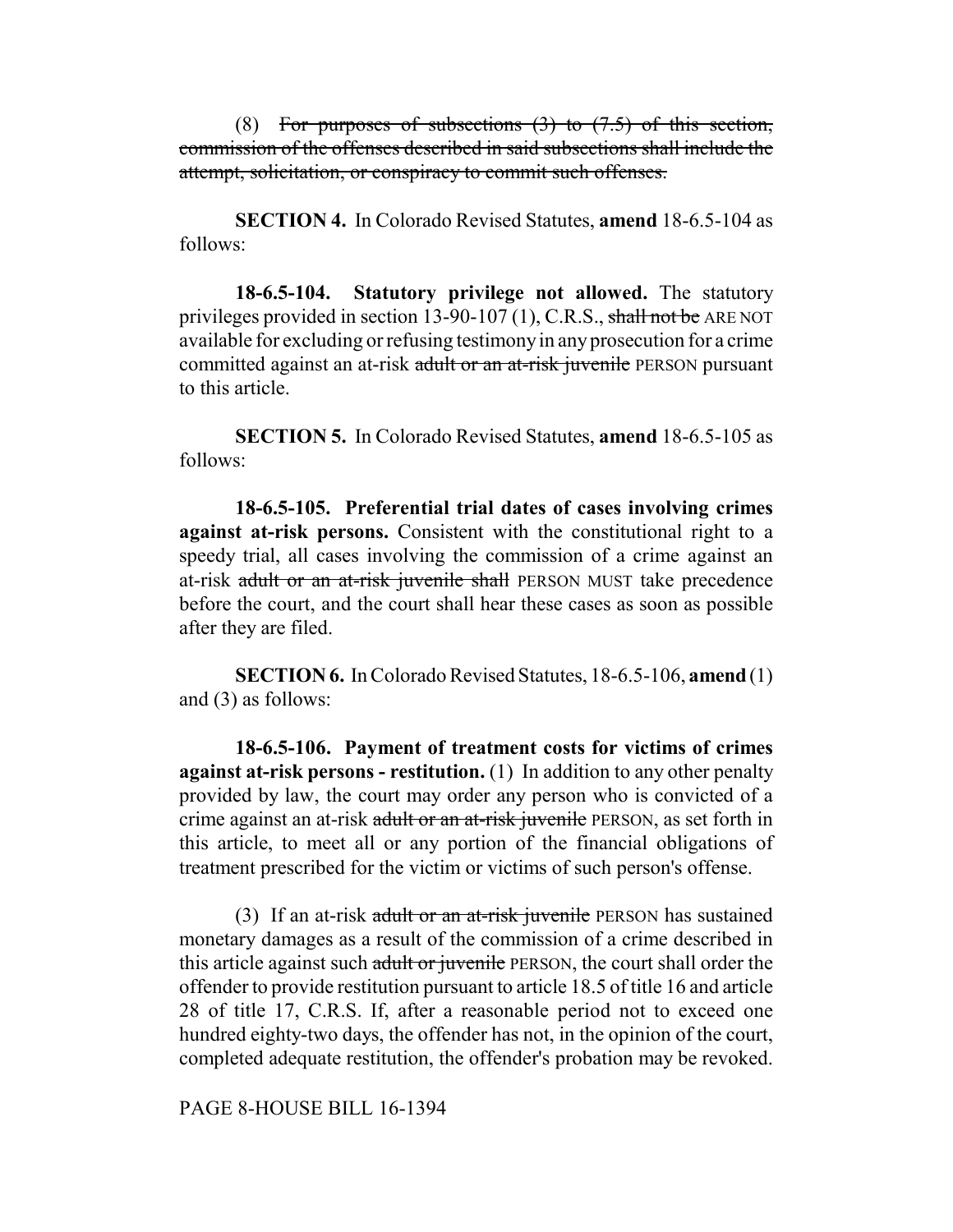(8) For purposes of subsections  $(3)$  to  $(7.5)$  of this section, commission of the offenses described in said subsections shall include the attempt, solicitation, or conspiracy to commit such offenses.

**SECTION 4.** In Colorado Revised Statutes, **amend** 18-6.5-104 as follows:

**18-6.5-104. Statutory privilege not allowed.** The statutory privileges provided in section 13-90-107 (1), C.R.S., shall not be ARE NOT available for excluding or refusing testimony in any prosecution for a crime committed against an at-risk adult or an at-risk juvenile PERSON pursuant to this article.

**SECTION 5.** In Colorado Revised Statutes, **amend** 18-6.5-105 as follows:

**18-6.5-105. Preferential trial dates of cases involving crimes against at-risk persons.** Consistent with the constitutional right to a speedy trial, all cases involving the commission of a crime against an at-risk adult or an at-risk juvenile shall PERSON MUST take precedence before the court, and the court shall hear these cases as soon as possible after they are filed.

**SECTION 6.** In Colorado Revised Statutes, 18-6.5-106, **amend** (1) and (3) as follows:

**18-6.5-106. Payment of treatment costs for victims of crimes against at-risk persons - restitution.** (1) In addition to any other penalty provided by law, the court may order any person who is convicted of a crime against an at-risk adult or an at-risk juvenile PERSON, as set forth in this article, to meet all or any portion of the financial obligations of treatment prescribed for the victim or victims of such person's offense.

(3) If an at-risk adult or an at-risk juvenile PERSON has sustained monetary damages as a result of the commission of a crime described in this article against such a <del>dult or juvenile</del> PERSON, the court shall order the offender to provide restitution pursuant to article 18.5 of title 16 and article 28 of title 17, C.R.S. If, after a reasonable period not to exceed one hundred eighty-two days, the offender has not, in the opinion of the court, completed adequate restitution, the offender's probation may be revoked.

PAGE 8-HOUSE BILL 16-1394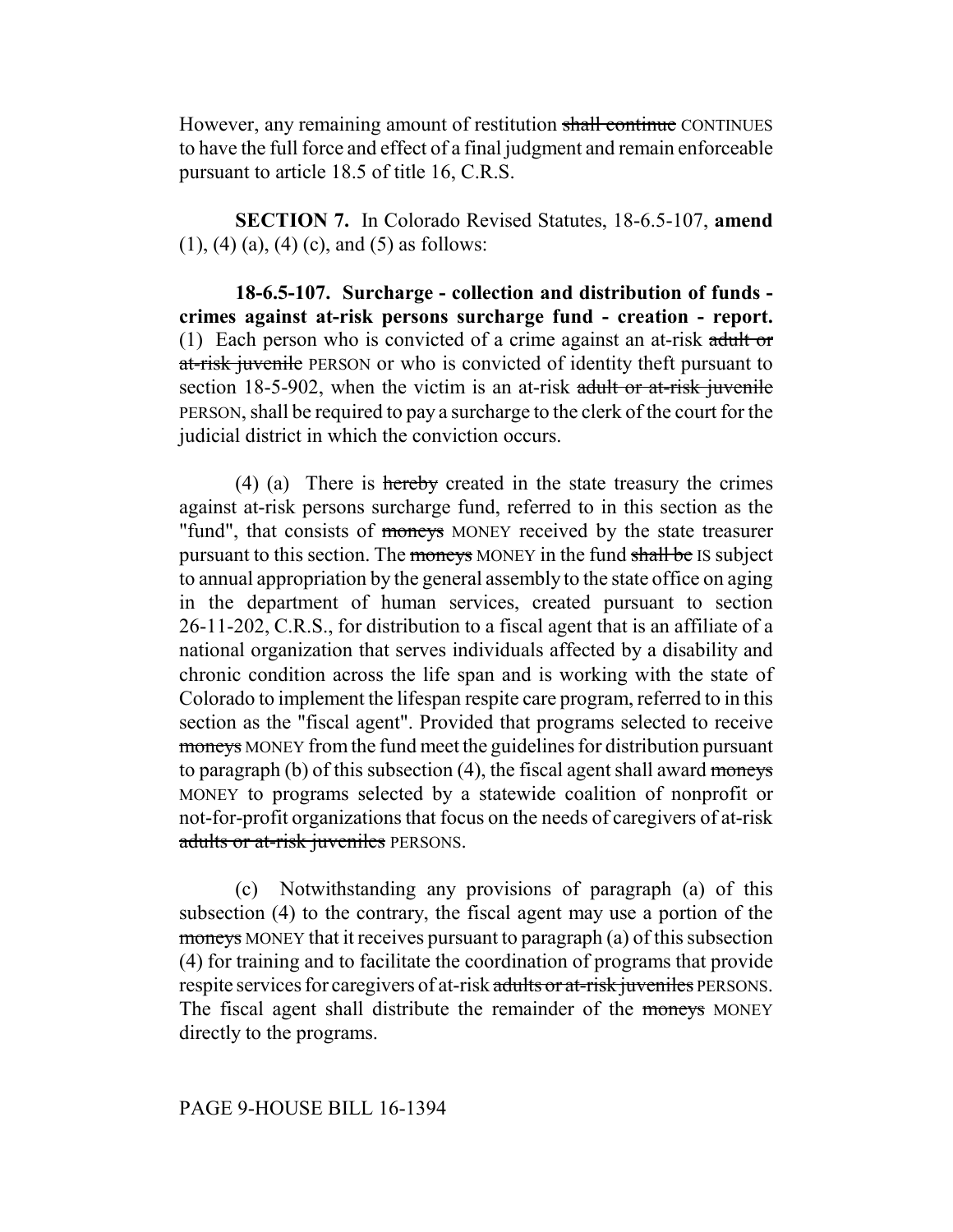However, any remaining amount of restitution shall continue CONTINUES to have the full force and effect of a final judgment and remain enforceable pursuant to article 18.5 of title 16, C.R.S.

**SECTION 7.** In Colorado Revised Statutes, 18-6.5-107, **amend**  $(1)$ ,  $(4)$   $(a)$ ,  $(4)$   $(c)$ , and  $(5)$  as follows:

**18-6.5-107. Surcharge - collection and distribution of funds crimes against at-risk persons surcharge fund - creation - report.** (1) Each person who is convicted of a crime against an at-risk adult or at-risk juvenile PERSON or who is convicted of identity theft pursuant to section 18-5-902, when the victim is an at-risk adult or at-risk juvenile PERSON, shall be required to pay a surcharge to the clerk of the court for the judicial district in which the conviction occurs.

(4) (a) There is  $h$ ereby created in the state treasury the crimes against at-risk persons surcharge fund, referred to in this section as the "fund", that consists of moneys MONEY received by the state treasurer pursuant to this section. The moneys MONEY in the fund shall be IS subject to annual appropriation by the general assembly to the state office on aging in the department of human services, created pursuant to section 26-11-202, C.R.S., for distribution to a fiscal agent that is an affiliate of a national organization that serves individuals affected by a disability and chronic condition across the life span and is working with the state of Colorado to implement the lifespan respite care program, referred to in this section as the "fiscal agent". Provided that programs selected to receive moneys MONEY from the fund meet the guidelines for distribution pursuant to paragraph (b) of this subsection  $(4)$ , the fiscal agent shall award moneys MONEY to programs selected by a statewide coalition of nonprofit or not-for-profit organizations that focus on the needs of caregivers of at-risk adults or at-risk juveniles PERSONS.

(c) Notwithstanding any provisions of paragraph (a) of this subsection (4) to the contrary, the fiscal agent may use a portion of the moneys MONEY that it receives pursuant to paragraph (a) of this subsection (4) for training and to facilitate the coordination of programs that provide respite services for caregivers of at-risk adults or at-risk juveniles PERSONS. The fiscal agent shall distribute the remainder of the moneys MONEY directly to the programs.

### PAGE 9-HOUSE BILL 16-1394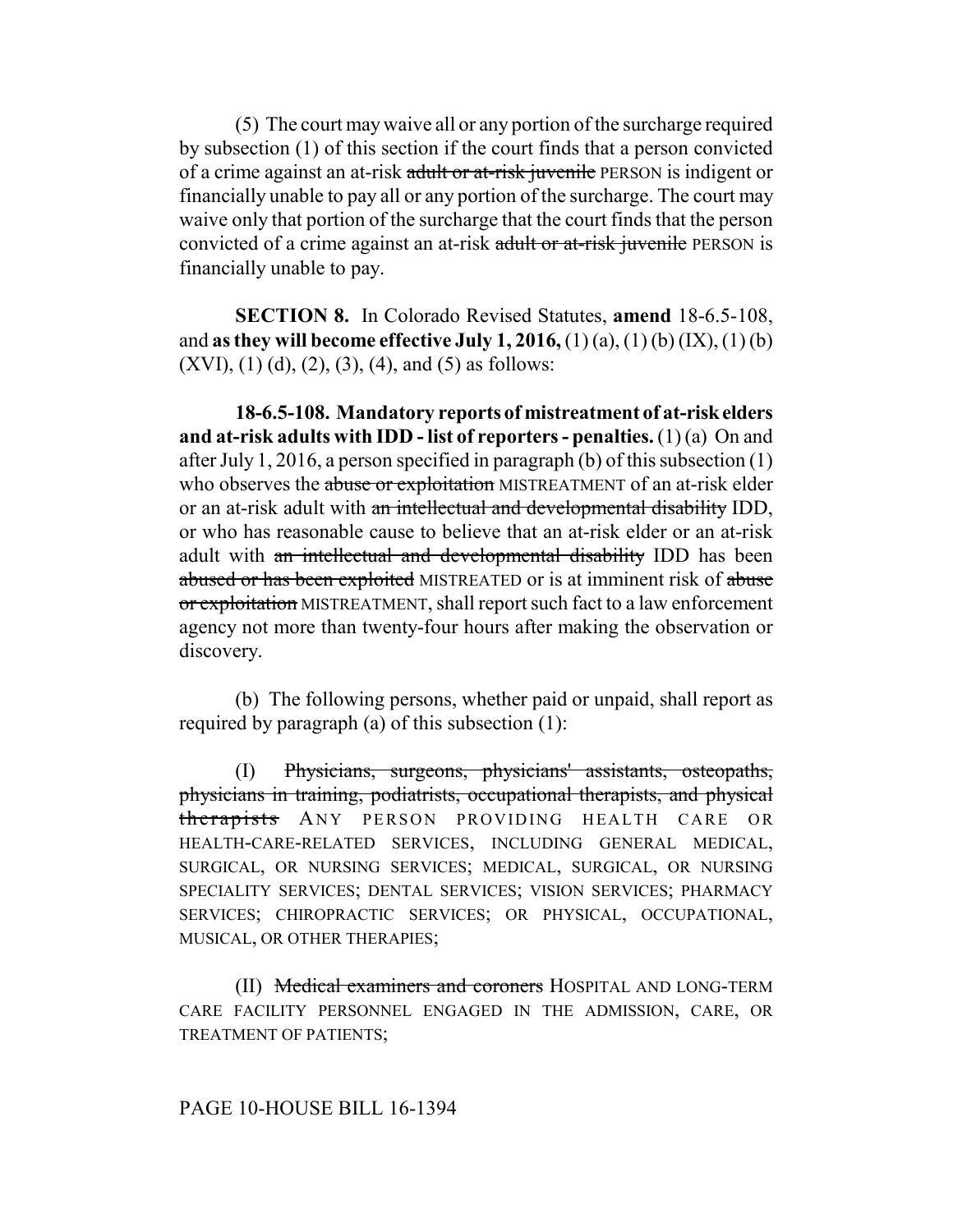(5) The court may waive all or any portion of the surcharge required by subsection (1) of this section if the court finds that a person convicted of a crime against an at-risk adult or at-risk juvenile PERSON is indigent or financially unable to pay all or any portion of the surcharge. The court may waive only that portion of the surcharge that the court finds that the person convicted of a crime against an at-risk adult or at-risk juvenile PERSON is financially unable to pay.

**SECTION 8.** In Colorado Revised Statutes, **amend** 18-6.5-108, and **as they will become effective July 1, 2016,** (1) (a), (1) (b) (IX), (1) (b)  $(XVI)$ ,  $(1)$   $(d)$ ,  $(2)$ ,  $(3)$ ,  $(4)$ , and  $(5)$  as follows:

**18-6.5-108. Mandatory reports of mistreatment of at-risk elders and at-risk adults with IDD - list of reporters - penalties.** (1) (a) On and after July 1, 2016, a person specified in paragraph (b) of this subsection (1) who observes the abuse or exploitation MISTREATMENT of an at-risk elder or an at-risk adult with an intellectual and developmental disability IDD, or who has reasonable cause to believe that an at-risk elder or an at-risk adult with an intellectual and developmental disability IDD has been abused or has been exploited MISTREATED or is at imminent risk of abuse or exploitation MISTREATMENT, shall report such fact to a law enforcement agency not more than twenty-four hours after making the observation or discovery.

(b) The following persons, whether paid or unpaid, shall report as required by paragraph (a) of this subsection (1):

(I) Physicians, surgeons, physicians' assistants, osteopaths, physicians in training, podiatrists, occupational therapists, and physical therapists ANY PERSON PROVIDING HEALTH CARE OR HEALTH-CARE-RELATED SERVICES, INCLUDING GENERAL MEDICAL, SURGICAL, OR NURSING SERVICES; MEDICAL, SURGICAL, OR NURSING SPECIALITY SERVICES; DENTAL SERVICES; VISION SERVICES; PHARMACY SERVICES; CHIROPRACTIC SERVICES; OR PHYSICAL, OCCUPATIONAL, MUSICAL, OR OTHER THERAPIES;

(II) Medical examiners and coroners HOSPITAL AND LONG-TERM CARE FACILITY PERSONNEL ENGAGED IN THE ADMISSION, CARE, OR TREATMENT OF PATIENTS;

### PAGE 10-HOUSE BILL 16-1394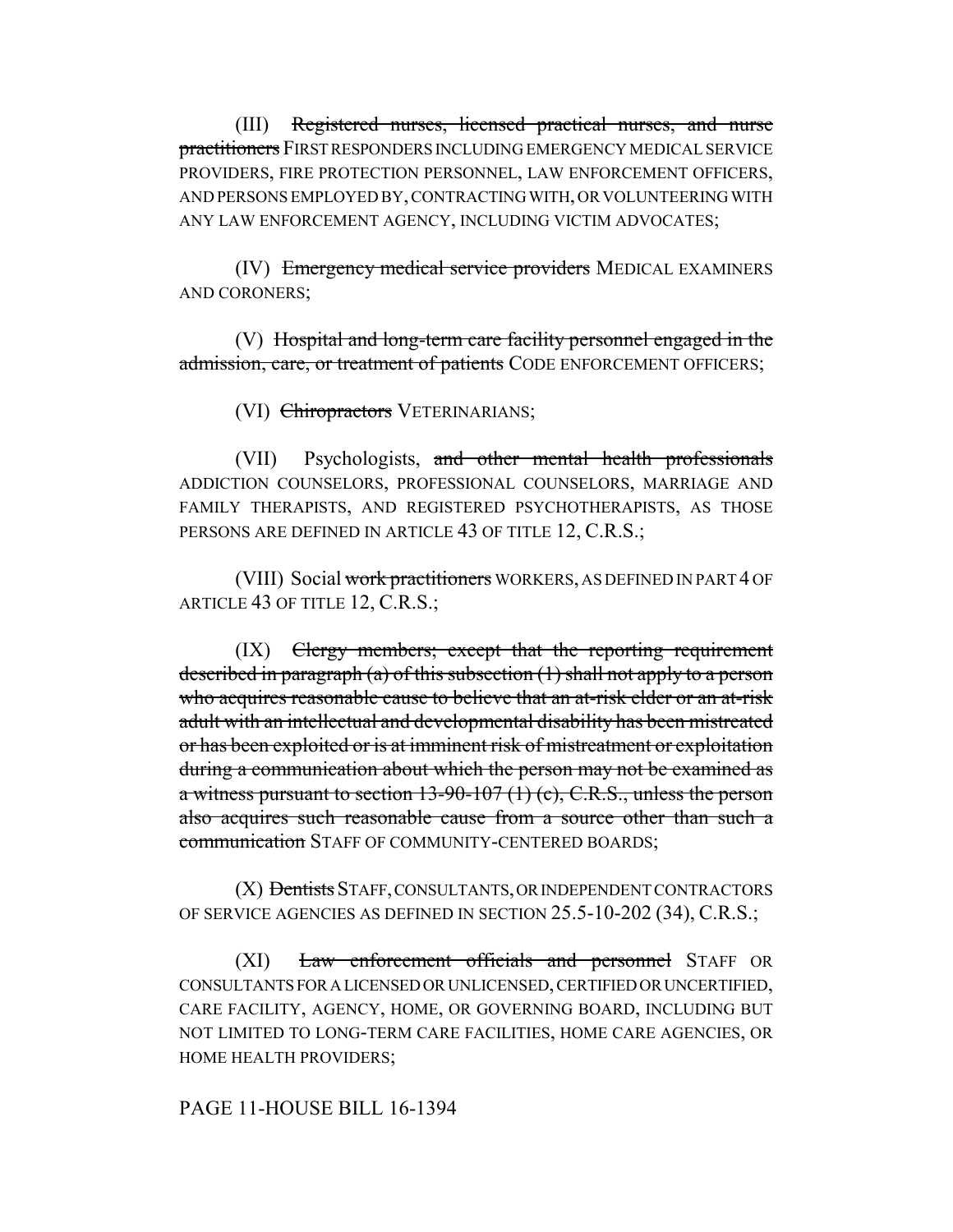(III) Registered nurses, licensed practical nurses, and nurse practitioners FIRST RESPONDERS INCLUDING EMERGENCY MEDICAL SERVICE PROVIDERS, FIRE PROTECTION PERSONNEL, LAW ENFORCEMENT OFFICERS, AND PERSONS EMPLOYED BY, CONTRACTING WITH, OR VOLUNTEERING WITH ANY LAW ENFORCEMENT AGENCY, INCLUDING VICTIM ADVOCATES;

(IV) Emergency medical service providers MEDICAL EXAMINERS AND CORONERS;

(V) Hospital and long-term care facility personnel engaged in the admission, care, or treatment of patients CODE ENFORCEMENT OFFICERS;

(VI) Chiropractors VETERINARIANS;

(VII) Psychologists, and other mental health professionals ADDICTION COUNSELORS, PROFESSIONAL COUNSELORS, MARRIAGE AND FAMILY THERAPISTS, AND REGISTERED PSYCHOTHERAPISTS, AS THOSE PERSONS ARE DEFINED IN ARTICLE 43 OF TITLE 12, C.R.S.;

(VIII) Social work practitioners WORKERS, AS DEFINED IN PART 4 OF ARTICLE 43 OF TITLE 12, C.R.S.;

(IX) Clergy members; except that the reporting requirement described in paragraph (a) of this subsection (1) shall not apply to a person who acquires reasonable cause to believe that an at-risk elder or an at-risk adult with an intellectual and developmental disability has been mistreated or has been exploited or is at imminent risk of mistreatment or exploitation during a communication about which the person may not be examined as a witness pursuant to section  $13-90-107(1)$  (c), C.R.S., unless the person also acquires such reasonable cause from a source other than such a communication STAFF OF COMMUNITY-CENTERED BOARDS;

(X) Dentists STAFF, CONSULTANTS, OR INDEPENDENT CONTRACTORS OF SERVICE AGENCIES AS DEFINED IN SECTION 25.5-10-202 (34), C.R.S.;

(XI) Law enforcement officials and personnel STAFF OR CONSULTANTS FOR A LICENSED OR UNLICENSED, CERTIFIED OR UNCERTIFIED, CARE FACILITY, AGENCY, HOME, OR GOVERNING BOARD, INCLUDING BUT NOT LIMITED TO LONG-TERM CARE FACILITIES, HOME CARE AGENCIES, OR HOME HEALTH PROVIDERS;

### PAGE 11-HOUSE BILL 16-1394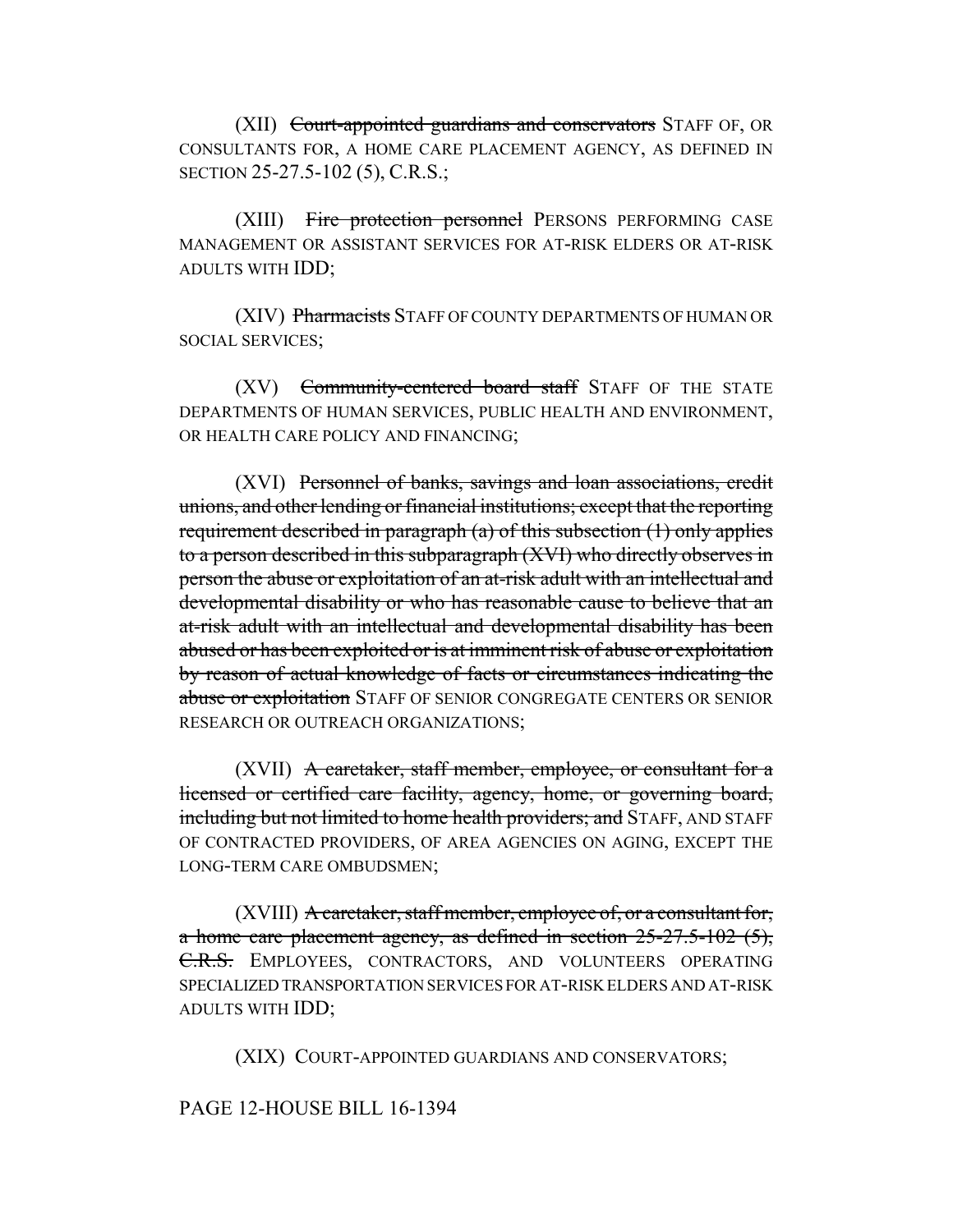(XII) Court-appointed guardians and conservators STAFF OF, OR CONSULTANTS FOR, A HOME CARE PLACEMENT AGENCY, AS DEFINED IN SECTION 25-27.5-102 (5), C.R.S.;

(XIII) Fire protection personnel PERSONS PERFORMING CASE MANAGEMENT OR ASSISTANT SERVICES FOR AT-RISK ELDERS OR AT-RISK ADULTS WITH IDD;

(XIV) Pharmacists STAFF OF COUNTY DEPARTMENTS OF HUMAN OR SOCIAL SERVICES;

(XV) Community-centered board staff STAFF OF THE STATE DEPARTMENTS OF HUMAN SERVICES, PUBLIC HEALTH AND ENVIRONMENT, OR HEALTH CARE POLICY AND FINANCING;

(XVI) Personnel of banks, savings and loan associations, credit unions, and other lending or financial institutions; except that the reporting requirement described in paragraph (a) of this subsection (1) only applies to a person described in this subparagraph (XVI) who directly observes in person the abuse or exploitation of an at-risk adult with an intellectual and developmental disability or who has reasonable cause to believe that an at-risk adult with an intellectual and developmental disability has been abused or has been exploited or is at imminent risk of abuse or exploitation by reason of actual knowledge of facts or circumstances indicating the abuse or exploitation STAFF OF SENIOR CONGREGATE CENTERS OR SENIOR RESEARCH OR OUTREACH ORGANIZATIONS;

(XVII) A caretaker, staff member, employee, or consultant for a licensed or certified care facility, agency, home, or governing board, including but not limited to home health providers; and STAFF, AND STAFF OF CONTRACTED PROVIDERS, OF AREA AGENCIES ON AGING, EXCEPT THE LONG-TERM CARE OMBUDSMEN;

(XVIII) A caretaker, staff member, employee of, or a consultant for, a home care placement agency, as defined in section 25-27.5-102 (5), C.R.S. EMPLOYEES, CONTRACTORS, AND VOLUNTEERS OPERATING SPECIALIZED TRANSPORTATION SERVICES FOR AT-RISK ELDERS AND AT-RISK ADULTS WITH IDD;

(XIX) COURT-APPOINTED GUARDIANS AND CONSERVATORS;

### PAGE 12-HOUSE BILL 16-1394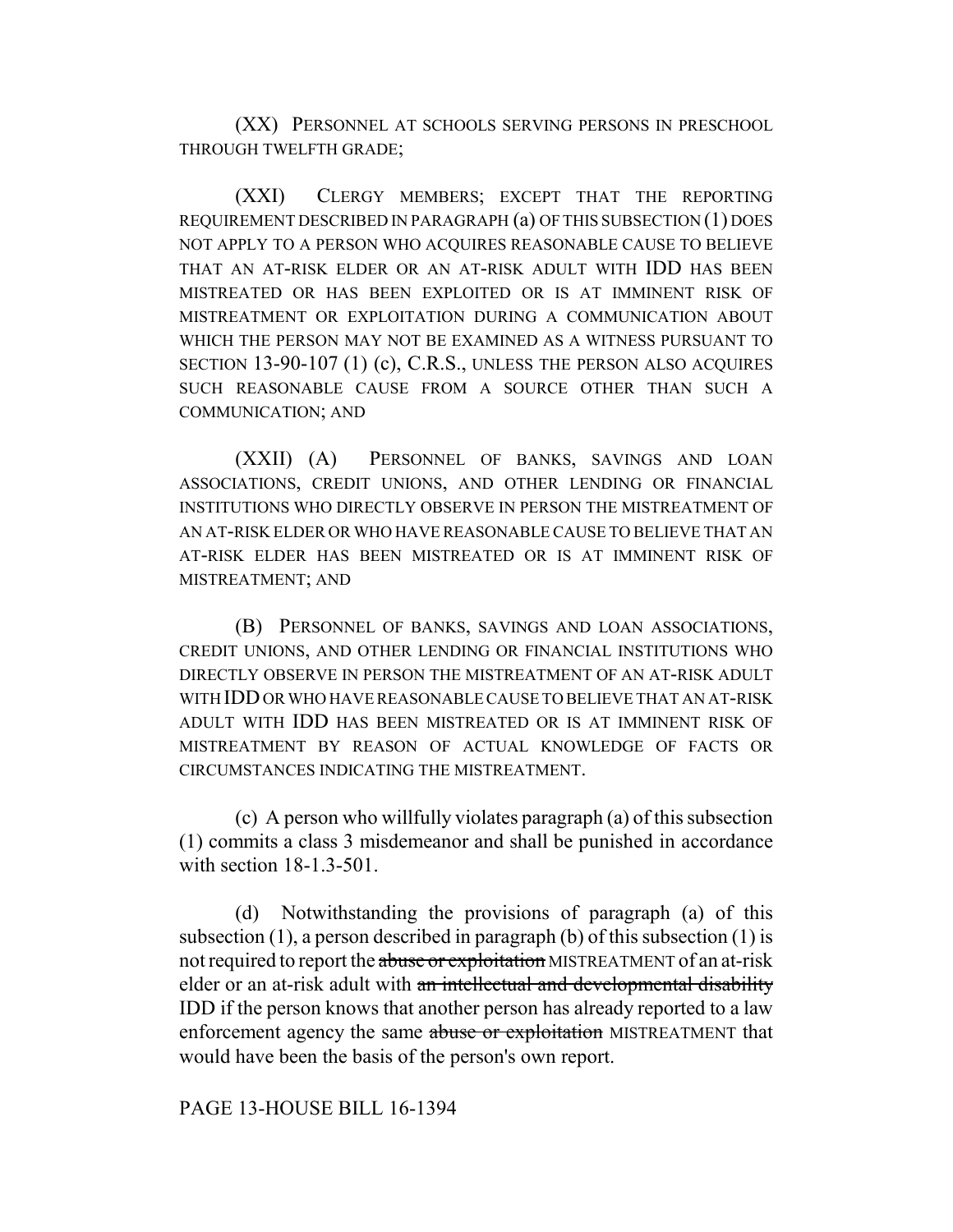(XX) PERSONNEL AT SCHOOLS SERVING PERSONS IN PRESCHOOL THROUGH TWELFTH GRADE;

(XXI) CLERGY MEMBERS; EXCEPT THAT THE REPORTING REQUIREMENT DESCRIBED IN PARAGRAPH (a) OF THIS SUBSECTION (1) DOES NOT APPLY TO A PERSON WHO ACQUIRES REASONABLE CAUSE TO BELIEVE THAT AN AT-RISK ELDER OR AN AT-RISK ADULT WITH IDD HAS BEEN MISTREATED OR HAS BEEN EXPLOITED OR IS AT IMMINENT RISK OF MISTREATMENT OR EXPLOITATION DURING A COMMUNICATION ABOUT WHICH THE PERSON MAY NOT BE EXAMINED AS A WITNESS PURSUANT TO SECTION 13-90-107 (1) (c), C.R.S., UNLESS THE PERSON ALSO ACQUIRES SUCH REASONABLE CAUSE FROM A SOURCE OTHER THAN SUCH A COMMUNICATION; AND

(XXII) (A) PERSONNEL OF BANKS, SAVINGS AND LOAN ASSOCIATIONS, CREDIT UNIONS, AND OTHER LENDING OR FINANCIAL INSTITUTIONS WHO DIRECTLY OBSERVE IN PERSON THE MISTREATMENT OF AN AT-RISK ELDER OR WHO HAVE REASONABLE CAUSE TO BELIEVE THAT AN AT-RISK ELDER HAS BEEN MISTREATED OR IS AT IMMINENT RISK OF MISTREATMENT; AND

(B) PERSONNEL OF BANKS, SAVINGS AND LOAN ASSOCIATIONS, CREDIT UNIONS, AND OTHER LENDING OR FINANCIAL INSTITUTIONS WHO DIRECTLY OBSERVE IN PERSON THE MISTREATMENT OF AN AT-RISK ADULT WITH IDD OR WHO HAVE REASONABLE CAUSE TO BELIEVE THAT AN AT-RISK ADULT WITH IDD HAS BEEN MISTREATED OR IS AT IMMINENT RISK OF MISTREATMENT BY REASON OF ACTUAL KNOWLEDGE OF FACTS OR CIRCUMSTANCES INDICATING THE MISTREATMENT.

(c) A person who willfully violates paragraph (a) of this subsection (1) commits a class 3 misdemeanor and shall be punished in accordance with section 18-1.3-501.

(d) Notwithstanding the provisions of paragraph (a) of this subsection (1), a person described in paragraph (b) of this subsection (1) is not required to report the abuse or exploitation MISTREATMENT of an at-risk elder or an at-risk adult with an intellectual and developmental disability IDD if the person knows that another person has already reported to a law enforcement agency the same abuse or exploitation MISTREATMENT that would have been the basis of the person's own report.

### PAGE 13-HOUSE BILL 16-1394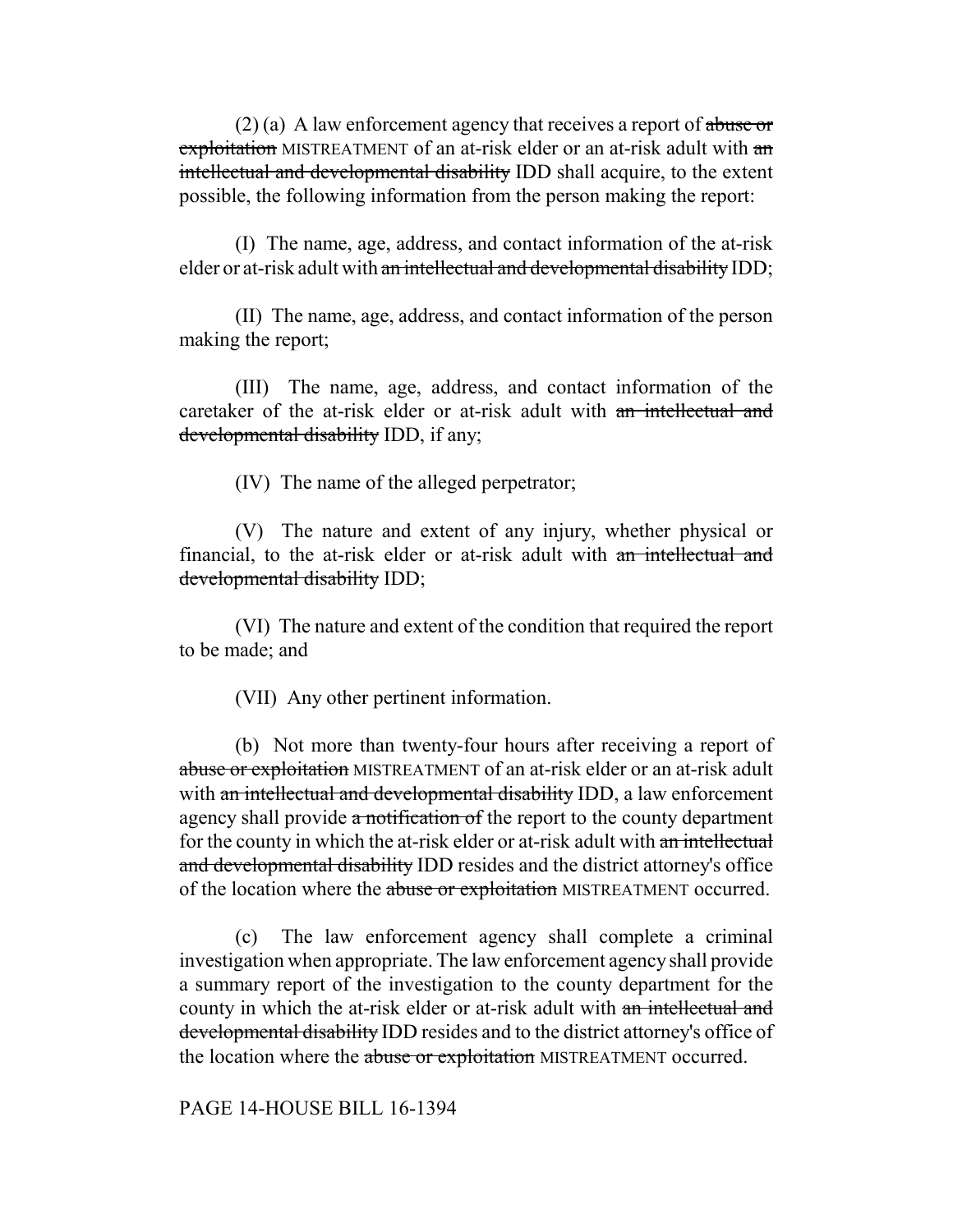$(2)$  (a) A law enforcement agency that receives a report of abuse or exploitation MISTREATMENT of an at-risk elder or an at-risk adult with an intellectual and developmental disability IDD shall acquire, to the extent possible, the following information from the person making the report:

(I) The name, age, address, and contact information of the at-risk elder or at-risk adult with an intellectual and developmental disability IDD;

(II) The name, age, address, and contact information of the person making the report;

(III) The name, age, address, and contact information of the caretaker of the at-risk elder or at-risk adult with an intellectual and developmental disability IDD, if any;

(IV) The name of the alleged perpetrator;

(V) The nature and extent of any injury, whether physical or financial, to the at-risk elder or at-risk adult with an intellectual and developmental disability IDD;

(VI) The nature and extent of the condition that required the report to be made; and

(VII) Any other pertinent information.

(b) Not more than twenty-four hours after receiving a report of abuse or exploitation MISTREATMENT of an at-risk elder or an at-risk adult with an intellectual and developmental disability IDD, a law enforcement agency shall provide a notification of the report to the county department for the county in which the at-risk elder or at-risk adult with an intellectual and developmental disability IDD resides and the district attorney's office of the location where the abuse or exploitation MISTREATMENT occurred.

(c) The law enforcement agency shall complete a criminal investigation when appropriate. The law enforcement agency shall provide a summary report of the investigation to the county department for the county in which the at-risk elder or at-risk adult with an intellectual and developmental disability IDD resides and to the district attorney's office of the location where the abuse or exploitation MISTREATMENT occurred.

PAGE 14-HOUSE BILL 16-1394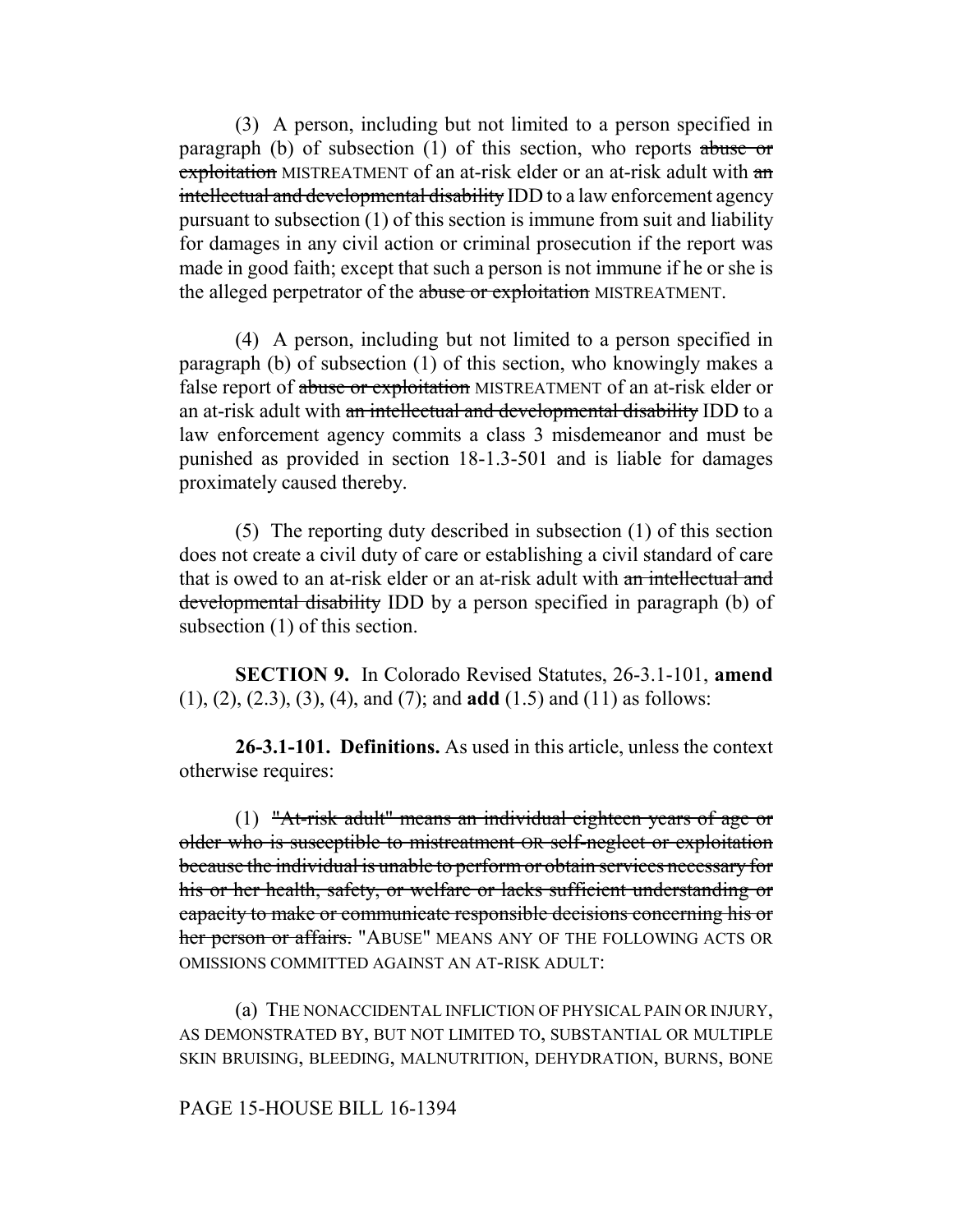(3) A person, including but not limited to a person specified in paragraph (b) of subsection (1) of this section, who reports abuse or exploitation MISTREATMENT of an at-risk elder or an at-risk adult with an intellectual and developmental disability IDD to a law enforcement agency pursuant to subsection (1) of this section is immune from suit and liability for damages in any civil action or criminal prosecution if the report was made in good faith; except that such a person is not immune if he or she is the alleged perpetrator of the abuse or exploitation MISTREATMENT.

(4) A person, including but not limited to a person specified in paragraph (b) of subsection (1) of this section, who knowingly makes a false report of abuse or exploitation MISTREATMENT of an at-risk elder or an at-risk adult with an intellectual and developmental disability IDD to a law enforcement agency commits a class 3 misdemeanor and must be punished as provided in section 18-1.3-501 and is liable for damages proximately caused thereby.

(5) The reporting duty described in subsection (1) of this section does not create a civil duty of care or establishing a civil standard of care that is owed to an at-risk elder or an at-risk adult with an intellectual and developmental disability IDD by a person specified in paragraph (b) of subsection (1) of this section.

**SECTION 9.** In Colorado Revised Statutes, 26-3.1-101, **amend** (1), (2), (2.3), (3), (4), and (7); and **add** (1.5) and (11) as follows:

**26-3.1-101. Definitions.** As used in this article, unless the context otherwise requires:

(1) "At-risk adult" means an individual eighteen years of age or older who is susceptible to mistreatment OR self-neglect or exploitation because the individual is unable to perform or obtain services necessary for his or her health, safety, or welfare or lacks sufficient understanding or capacity to make or communicate responsible decisions concerning his or her person or affairs. "ABUSE" MEANS ANY OF THE FOLLOWING ACTS OR OMISSIONS COMMITTED AGAINST AN AT-RISK ADULT:

(a) THE NONACCIDENTAL INFLICTION OF PHYSICAL PAIN OR INJURY, AS DEMONSTRATED BY, BUT NOT LIMITED TO, SUBSTANTIAL OR MULTIPLE SKIN BRUISING, BLEEDING, MALNUTRITION, DEHYDRATION, BURNS, BONE

# PAGE 15-HOUSE BILL 16-1394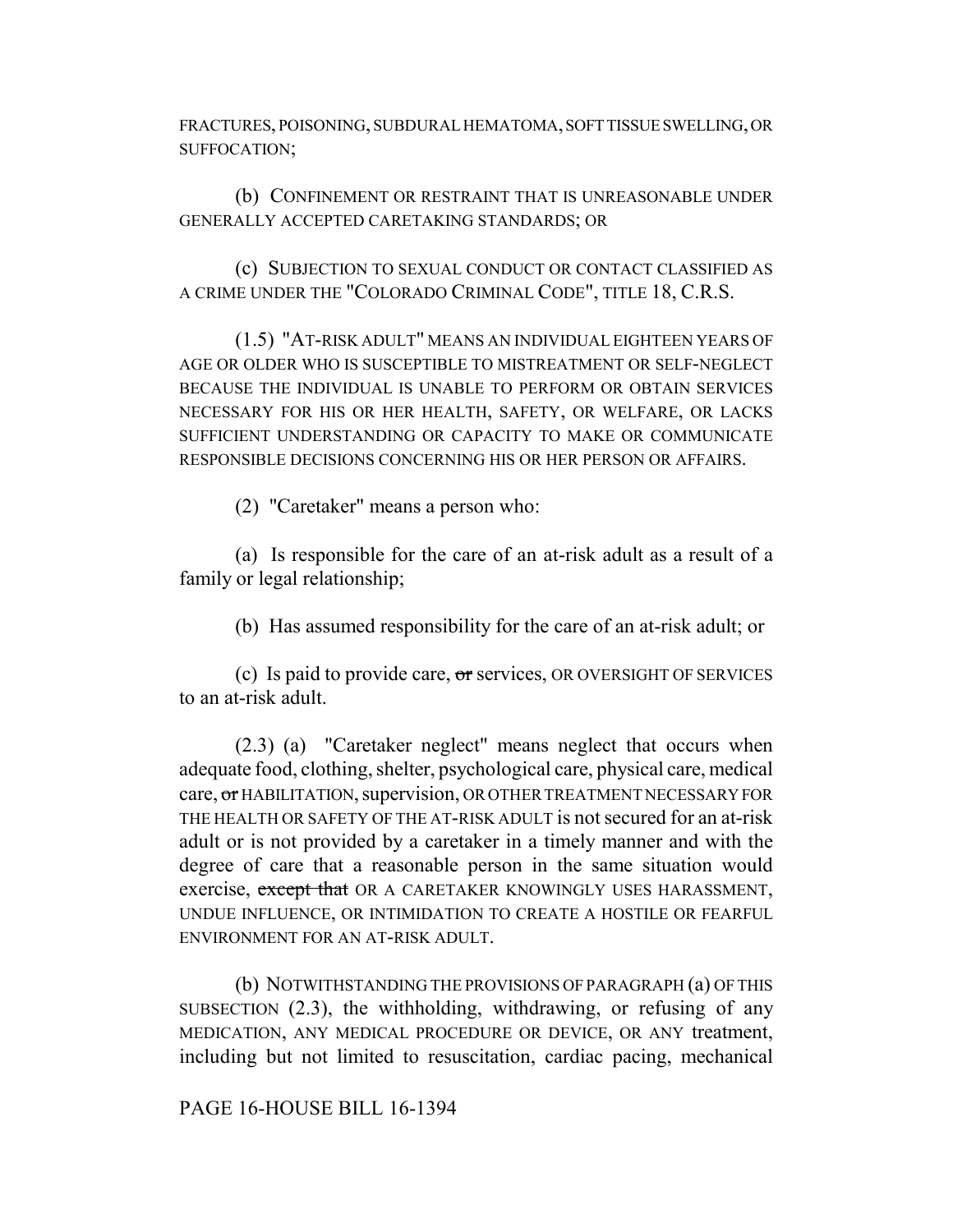FRACTURES, POISONING, SUBDURAL HEMATOMA, SOFT TISSUE SWELLING, OR SUFFOCATION;

(b) CONFINEMENT OR RESTRAINT THAT IS UNREASONABLE UNDER GENERALLY ACCEPTED CARETAKING STANDARDS; OR

(c) SUBJECTION TO SEXUAL CONDUCT OR CONTACT CLASSIFIED AS A CRIME UNDER THE "COLORADO CRIMINAL CODE", TITLE 18, C.R.S.

(1.5) "AT-RISK ADULT" MEANS AN INDIVIDUAL EIGHTEEN YEARS OF AGE OR OLDER WHO IS SUSCEPTIBLE TO MISTREATMENT OR SELF-NEGLECT BECAUSE THE INDIVIDUAL IS UNABLE TO PERFORM OR OBTAIN SERVICES NECESSARY FOR HIS OR HER HEALTH, SAFETY, OR WELFARE, OR LACKS SUFFICIENT UNDERSTANDING OR CAPACITY TO MAKE OR COMMUNICATE RESPONSIBLE DECISIONS CONCERNING HIS OR HER PERSON OR AFFAIRS.

(2) "Caretaker" means a person who:

(a) Is responsible for the care of an at-risk adult as a result of a family or legal relationship;

(b) Has assumed responsibility for the care of an at-risk adult; or

(c) Is paid to provide care, or services, OR OVERSIGHT OF SERVICES to an at-risk adult.

(2.3) (a) "Caretaker neglect" means neglect that occurs when adequate food, clothing, shelter, psychological care, physical care, medical care, or HABILITATION, supervision, OR OTHER TREATMENT NECESSARY FOR THE HEALTH OR SAFETY OF THE AT-RISK ADULT is not secured for an at-risk adult or is not provided by a caretaker in a timely manner and with the degree of care that a reasonable person in the same situation would exercise, except that OR A CARETAKER KNOWINGLY USES HARASSMENT, UNDUE INFLUENCE, OR INTIMIDATION TO CREATE A HOSTILE OR FEARFUL ENVIRONMENT FOR AN AT-RISK ADULT.

(b) NOTWITHSTANDING THE PROVISIONS OF PARAGRAPH (a) OF THIS SUBSECTION (2.3), the withholding, withdrawing, or refusing of any MEDICATION, ANY MEDICAL PROCEDURE OR DEVICE, OR ANY treatment, including but not limited to resuscitation, cardiac pacing, mechanical

PAGE 16-HOUSE BILL 16-1394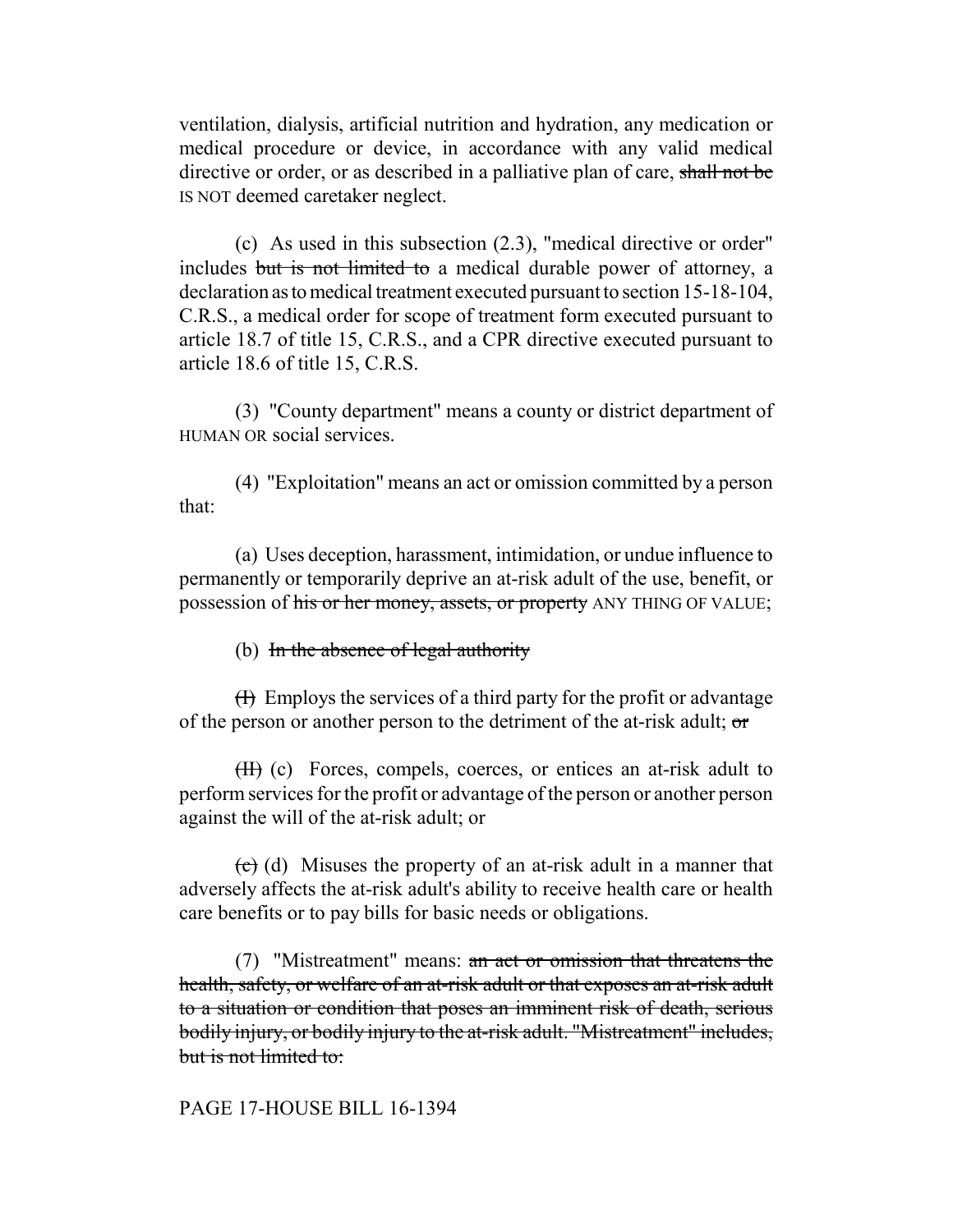ventilation, dialysis, artificial nutrition and hydration, any medication or medical procedure or device, in accordance with any valid medical directive or order, or as described in a palliative plan of care, shall not be IS NOT deemed caretaker neglect.

(c) As used in this subsection (2.3), "medical directive or order" includes but is not limited to a medical durable power of attorney, a declaration as to medical treatment executed pursuant to section 15-18-104, C.R.S., a medical order for scope of treatment form executed pursuant to article 18.7 of title 15, C.R.S., and a CPR directive executed pursuant to article 18.6 of title 15, C.R.S.

(3) "County department" means a county or district department of HUMAN OR social services.

(4) "Exploitation" means an act or omission committed by a person that:

(a) Uses deception, harassment, intimidation, or undue influence to permanently or temporarily deprive an at-risk adult of the use, benefit, or possession of his or her money, assets, or property ANY THING OF VALUE;

(b) In the absence of legal authority

 $(H)$  Employs the services of a third party for the profit or advantage of the person or another person to the detriment of the at-risk adult; or

(II) (c) Forces, compels, coerces, or entices an at-risk adult to perform services for the profit or advantage of the person or another person against the will of the at-risk adult; or

 $\left(\frac{1}{x}\right)$  (d) Misuses the property of an at-risk adult in a manner that adversely affects the at-risk adult's ability to receive health care or health care benefits or to pay bills for basic needs or obligations.

(7) "Mistreatment" means: an act or omission that threatens the health, safety, or welfare of an at-risk adult or that exposes an at-risk adult to a situation or condition that poses an imminent risk of death, serious bodily injury, or bodily injury to the at-risk adult. "Mistreatment" includes, but is not limited to:

# PAGE 17-HOUSE BILL 16-1394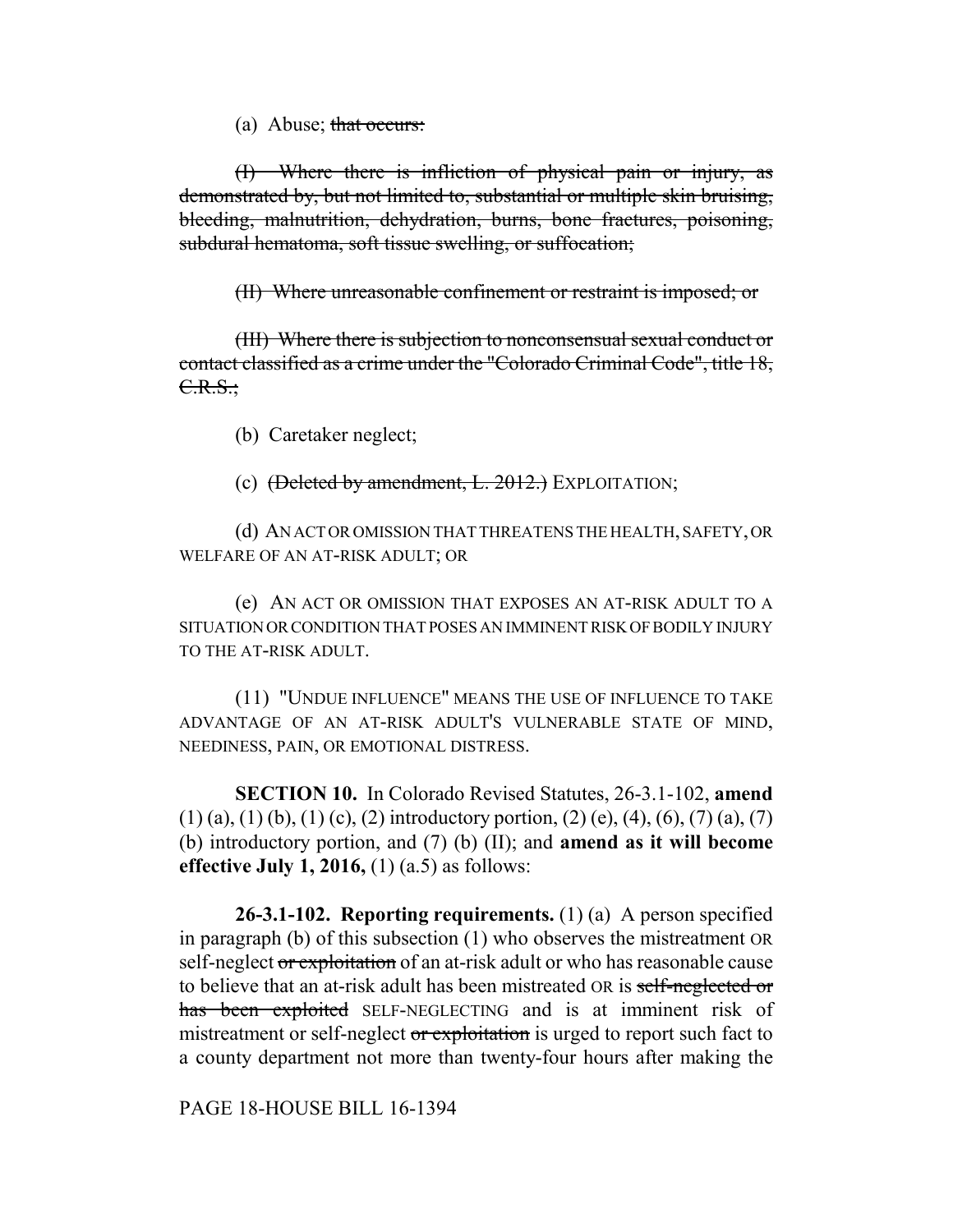(a) Abuse; that occurs:

(I) Where there is infliction of physical pain or injury, as demonstrated by, but not limited to, substantial or multiple skin bruising, bleeding, malnutrition, dehydration, burns, bone fractures, poisoning, subdural hematoma, soft tissue swelling, or suffocation;

(II) Where unreasonable confinement or restraint is imposed; or

(III) Where there is subjection to nonconsensual sexual conduct or contact classified as a crime under the "Colorado Criminal Code", title 18, C.R.S.;

(b) Caretaker neglect;

(c)  $(\text{Delta by amendment}, L. 2012.)$  EXPLOITATION;

(d) AN ACT OR OMISSION THAT THREATENS THE HEALTH, SAFETY, OR WELFARE OF AN AT-RISK ADULT; OR

(e) AN ACT OR OMISSION THAT EXPOSES AN AT-RISK ADULT TO A SITUATION OR CONDITION THAT POSES AN IMMINENT RISK OF BODILY INJURY TO THE AT-RISK ADULT.

(11) "UNDUE INFLUENCE" MEANS THE USE OF INFLUENCE TO TAKE ADVANTAGE OF AN AT-RISK ADULT'S VULNERABLE STATE OF MIND, NEEDINESS, PAIN, OR EMOTIONAL DISTRESS.

**SECTION 10.** In Colorado Revised Statutes, 26-3.1-102, **amend**  $(1)$  (a), (1) (b), (1) (c), (2) introductory portion, (2) (e), (4), (6), (7) (a), (7) (b) introductory portion, and (7) (b) (II); and **amend as it will become effective July 1, 2016,** (1) (a.5) as follows:

**26-3.1-102. Reporting requirements.** (1) (a) A person specified in paragraph (b) of this subsection (1) who observes the mistreatment OR self-neglect or exploitation of an at-risk adult or who has reasonable cause to believe that an at-risk adult has been mistreated OR is self-neglected or has been exploited SELF-NEGLECTING and is at imminent risk of mistreatment or self-neglect or exploitation is urged to report such fact to a county department not more than twenty-four hours after making the

PAGE 18-HOUSE BILL 16-1394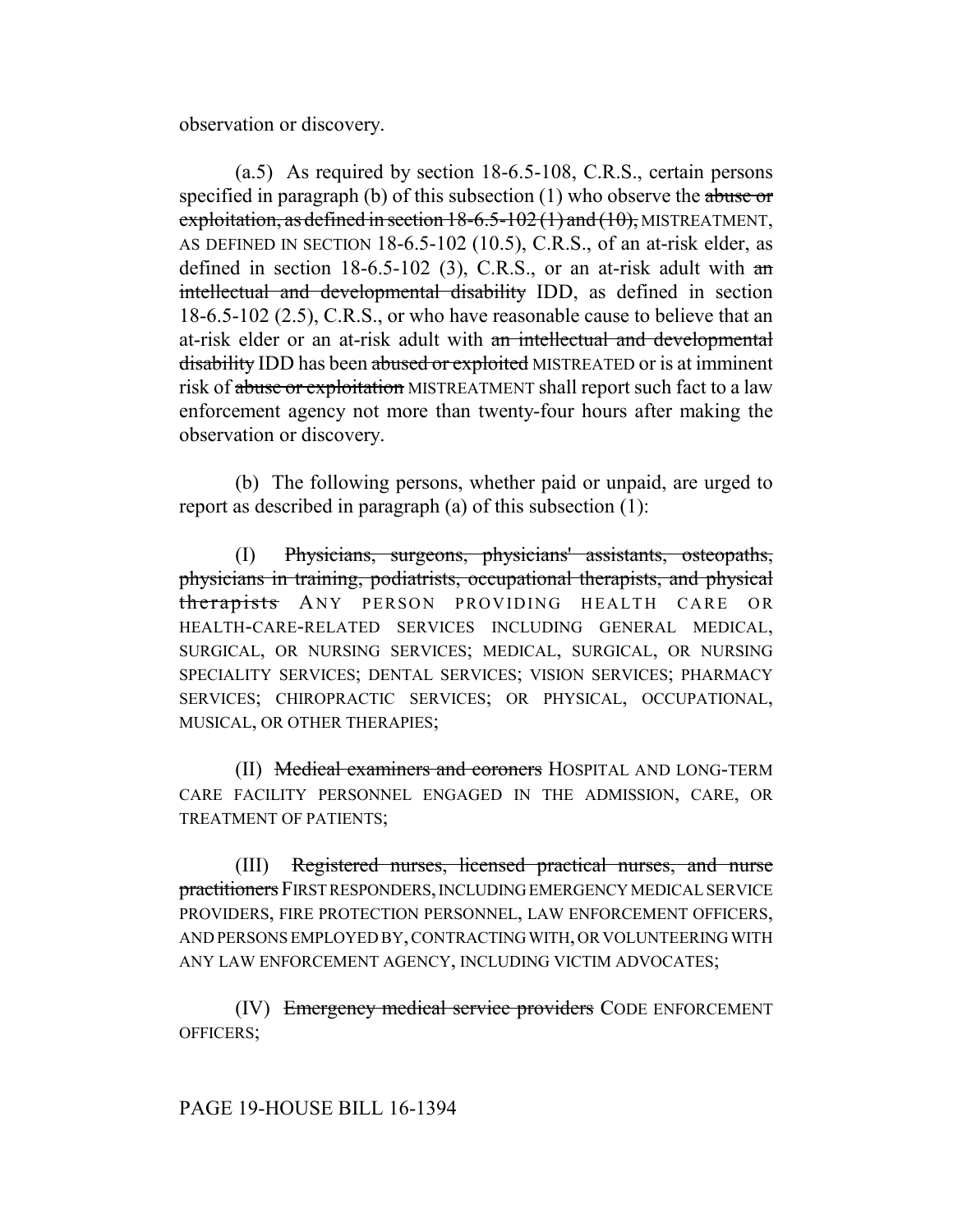observation or discovery.

(a.5) As required by section 18-6.5-108, C.R.S., certain persons specified in paragraph (b) of this subsection  $(1)$  who observe the abuse or exploitation, as defined in section  $18-6.5-102(1)$  and  $(10)$ , MISTREATMENT, AS DEFINED IN SECTION 18-6.5-102 (10.5), C.R.S., of an at-risk elder, as defined in section  $18-6.5-102$  (3), C.R.S., or an at-risk adult with  $\pi$ intellectual and developmental disability IDD, as defined in section 18-6.5-102 (2.5), C.R.S., or who have reasonable cause to believe that an at-risk elder or an at-risk adult with an intellectual and developmental disability IDD has been abused or exploited MISTREATED or is at imminent risk of abuse or exploitation MISTREATMENT shall report such fact to a law enforcement agency not more than twenty-four hours after making the observation or discovery.

(b) The following persons, whether paid or unpaid, are urged to report as described in paragraph (a) of this subsection (1):

(I) Physicians, surgeons, physicians' assistants, osteopaths, physicians in training, podiatrists, occupational therapists, and physical therapists ANY PERSON PROVIDING HEALTH CARE OR HEALTH-CARE-RELATED SERVICES INCLUDING GENERAL MEDICAL, SURGICAL, OR NURSING SERVICES; MEDICAL, SURGICAL, OR NURSING SPECIALITY SERVICES; DENTAL SERVICES; VISION SERVICES; PHARMACY SERVICES; CHIROPRACTIC SERVICES; OR PHYSICAL, OCCUPATIONAL, MUSICAL, OR OTHER THERAPIES;

(II) Medical examiners and coroners HOSPITAL AND LONG-TERM CARE FACILITY PERSONNEL ENGAGED IN THE ADMISSION, CARE, OR TREATMENT OF PATIENTS;

(III) Registered nurses, licensed practical nurses, and nurse practitioners FIRST RESPONDERS, INCLUDING EMERGENCY MEDICAL SERVICE PROVIDERS, FIRE PROTECTION PERSONNEL, LAW ENFORCEMENT OFFICERS, AND PERSONS EMPLOYED BY, CONTRACTING WITH, OR VOLUNTEERING WITH ANY LAW ENFORCEMENT AGENCY, INCLUDING VICTIM ADVOCATES;

(IV) Emergency medical service providers CODE ENFORCEMENT OFFICERS;

# PAGE 19-HOUSE BILL 16-1394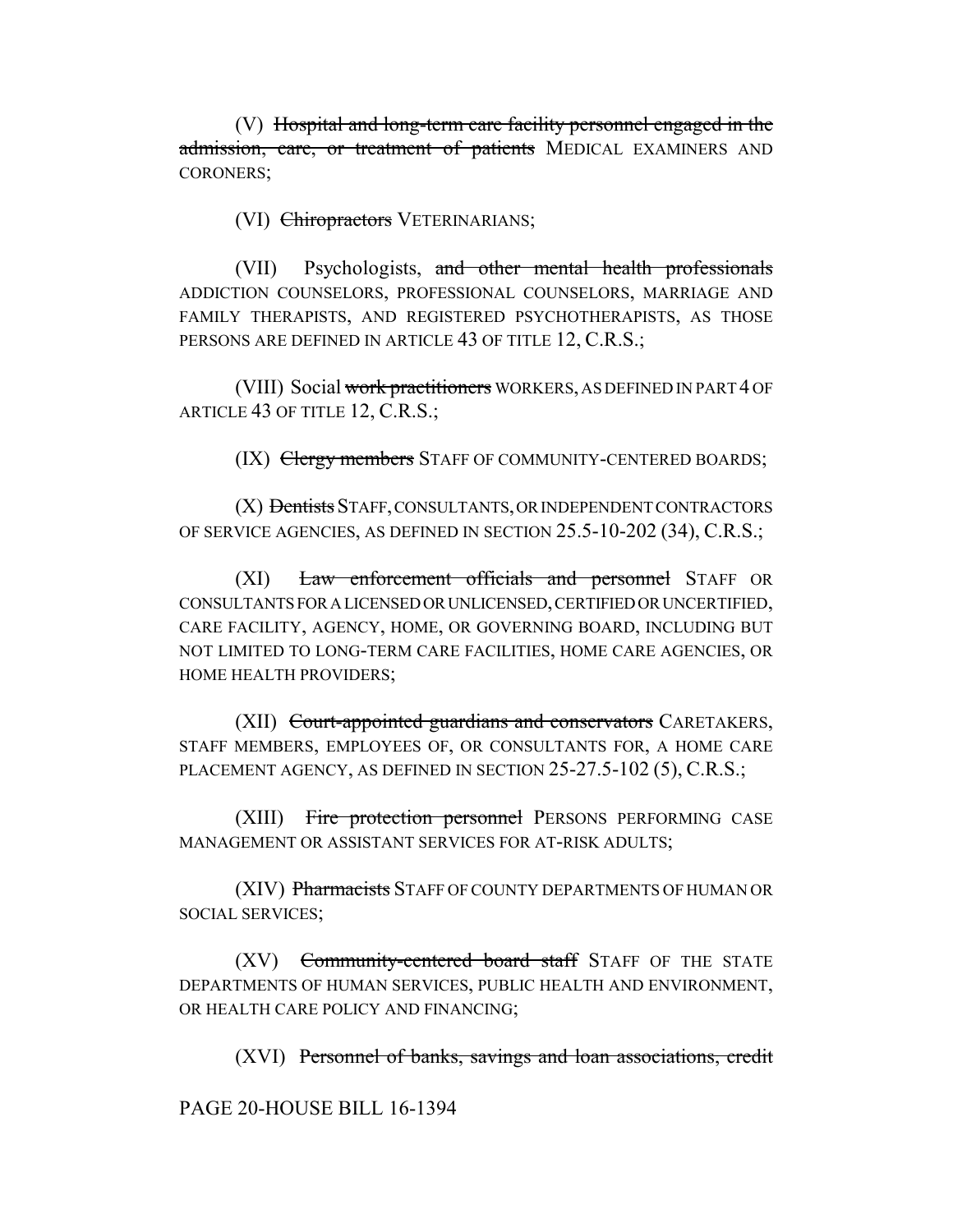(V) Hospital and long-term care facility personnel engaged in the admission, care, or treatment of patients MEDICAL EXAMINERS AND CORONERS;

(VI) Chiropractors VETERINARIANS;

(VII) Psychologists, and other mental health professionals ADDICTION COUNSELORS, PROFESSIONAL COUNSELORS, MARRIAGE AND FAMILY THERAPISTS, AND REGISTERED PSYCHOTHERAPISTS, AS THOSE PERSONS ARE DEFINED IN ARTICLE 43 OF TITLE 12, C.R.S.;

(VIII) Social work practitioners WORKERS, AS DEFINED IN PART 4 OF ARTICLE 43 OF TITLE 12, C.R.S.;

(IX) Clergy members STAFF OF COMMUNITY-CENTERED BOARDS;

(X) Dentists STAFF, CONSULTANTS, OR INDEPENDENT CONTRACTORS OF SERVICE AGENCIES, AS DEFINED IN SECTION 25.5-10-202 (34), C.R.S.;

(XI) Law enforcement officials and personnel STAFF OR CONSULTANTS FOR A LICENSED OR UNLICENSED, CERTIFIED OR UNCERTIFIED, CARE FACILITY, AGENCY, HOME, OR GOVERNING BOARD, INCLUDING BUT NOT LIMITED TO LONG-TERM CARE FACILITIES, HOME CARE AGENCIES, OR HOME HEALTH PROVIDERS;

(XII) Court-appointed guardians and conservators CARETAKERS, STAFF MEMBERS, EMPLOYEES OF, OR CONSULTANTS FOR, A HOME CARE PLACEMENT AGENCY, AS DEFINED IN SECTION 25-27.5-102 (5), C.R.S.;

(XIII) Fire protection personnel PERSONS PERFORMING CASE MANAGEMENT OR ASSISTANT SERVICES FOR AT-RISK ADULTS;

(XIV) Pharmacists STAFF OF COUNTY DEPARTMENTS OF HUMAN OR SOCIAL SERVICES;

(XV) Community-centered board staff STAFF OF THE STATE DEPARTMENTS OF HUMAN SERVICES, PUBLIC HEALTH AND ENVIRONMENT, OR HEALTH CARE POLICY AND FINANCING;

(XVI) Personnel of banks, savings and loan associations, credit

PAGE 20-HOUSE BILL 16-1394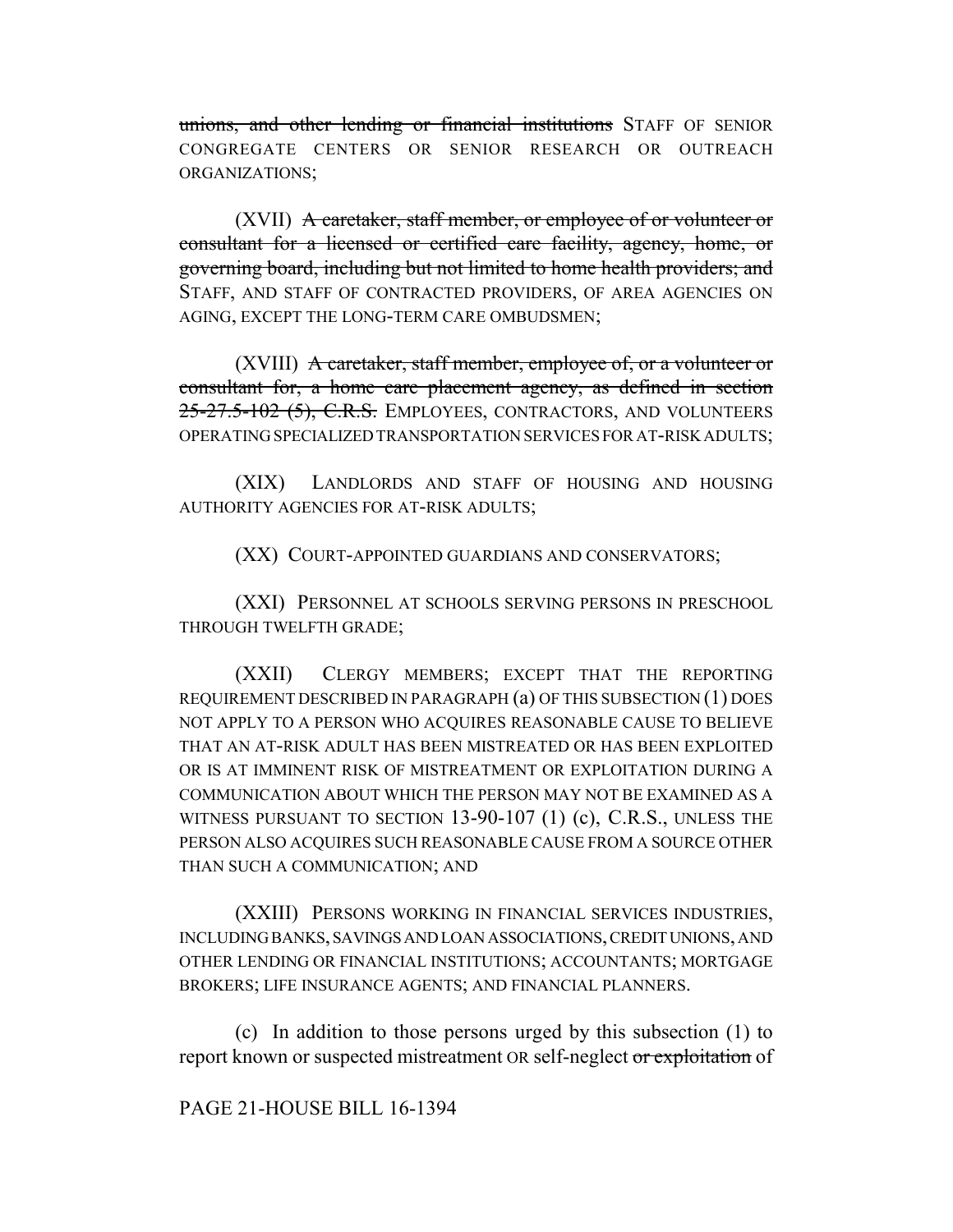unions, and other lending or financial institutions STAFF OF SENIOR CONGREGATE CENTERS OR SENIOR RESEARCH OR OUTREACH ORGANIZATIONS;

(XVII) A caretaker, staff member, or employee of or volunteer or consultant for a licensed or certified care facility, agency, home, or governing board, including but not limited to home health providers; and STAFF, AND STAFF OF CONTRACTED PROVIDERS, OF AREA AGENCIES ON AGING, EXCEPT THE LONG-TERM CARE OMBUDSMEN;

(XVIII) A caretaker, staff member, employee of, or a volunteer or consultant for, a home care placement agency, as defined in section 25-27.5-102 (5), C.R.S. EMPLOYEES, CONTRACTORS, AND VOLUNTEERS OPERATING SPECIALIZED TRANSPORTATION SERVICES FOR AT-RISK ADULTS;

(XIX) LANDLORDS AND STAFF OF HOUSING AND HOUSING AUTHORITY AGENCIES FOR AT-RISK ADULTS;

(XX) COURT-APPOINTED GUARDIANS AND CONSERVATORS;

(XXI) PERSONNEL AT SCHOOLS SERVING PERSONS IN PRESCHOOL THROUGH TWELFTH GRADE;

(XXII) CLERGY MEMBERS; EXCEPT THAT THE REPORTING REQUIREMENT DESCRIBED IN PARAGRAPH (a) OF THIS SUBSECTION (1) DOES NOT APPLY TO A PERSON WHO ACQUIRES REASONABLE CAUSE TO BELIEVE THAT AN AT-RISK ADULT HAS BEEN MISTREATED OR HAS BEEN EXPLOITED OR IS AT IMMINENT RISK OF MISTREATMENT OR EXPLOITATION DURING A COMMUNICATION ABOUT WHICH THE PERSON MAY NOT BE EXAMINED AS A WITNESS PURSUANT TO SECTION 13-90-107 (1) (c), C.R.S., UNLESS THE PERSON ALSO ACQUIRES SUCH REASONABLE CAUSE FROM A SOURCE OTHER THAN SUCH A COMMUNICATION; AND

(XXIII) PERSONS WORKING IN FINANCIAL SERVICES INDUSTRIES, INCLUDING BANKS, SAVINGS AND LOAN ASSOCIATIONS, CREDIT UNIONS, AND OTHER LENDING OR FINANCIAL INSTITUTIONS; ACCOUNTANTS; MORTGAGE BROKERS; LIFE INSURANCE AGENTS; AND FINANCIAL PLANNERS.

(c) In addition to those persons urged by this subsection (1) to report known or suspected mistreatment OR self-neglect or exploitation of

PAGE 21-HOUSE BILL 16-1394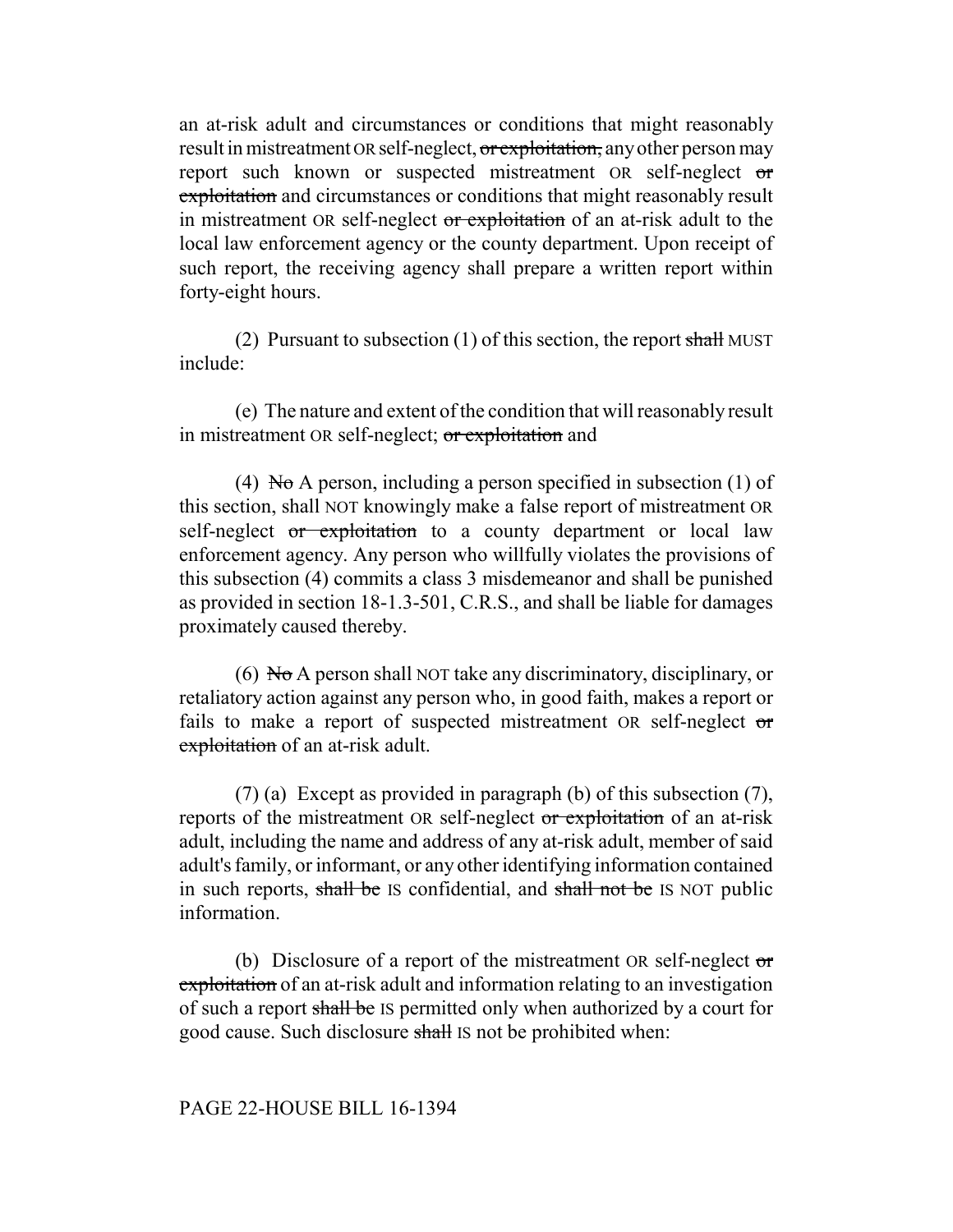an at-risk adult and circumstances or conditions that might reasonably result in mistreatment OR self-neglect, or exploitation, any other person may report such known or suspected mistreatment OR self-neglect or exploitation and circumstances or conditions that might reasonably result in mistreatment OR self-neglect or exploitation of an at-risk adult to the local law enforcement agency or the county department. Upon receipt of such report, the receiving agency shall prepare a written report within forty-eight hours.

(2) Pursuant to subsection (1) of this section, the report shall MUST include:

(e) The nature and extent of the condition that will reasonably result in mistreatment OR self-neglect; or exploitation and

(4) No A person, including a person specified in subsection (1) of this section, shall NOT knowingly make a false report of mistreatment OR self-neglect or exploitation to a county department or local law enforcement agency. Any person who willfully violates the provisions of this subsection (4) commits a class 3 misdemeanor and shall be punished as provided in section 18-1.3-501, C.R.S., and shall be liable for damages proximately caused thereby.

(6) No A person shall NOT take any discriminatory, disciplinary, or retaliatory action against any person who, in good faith, makes a report or fails to make a report of suspected mistreatment OR self-neglect or exploitation of an at-risk adult.

(7) (a) Except as provided in paragraph (b) of this subsection (7), reports of the mistreatment OR self-neglect or exploitation of an at-risk adult, including the name and address of any at-risk adult, member of said adult's family, or informant, or any other identifying information contained in such reports, shall be IS confidential, and shall not be IS NOT public information.

(b) Disclosure of a report of the mistreatment OR self-neglect  $\sigma$ exploitation of an at-risk adult and information relating to an investigation of such a report shall be IS permitted only when authorized by a court for good cause. Such disclosure shall IS not be prohibited when: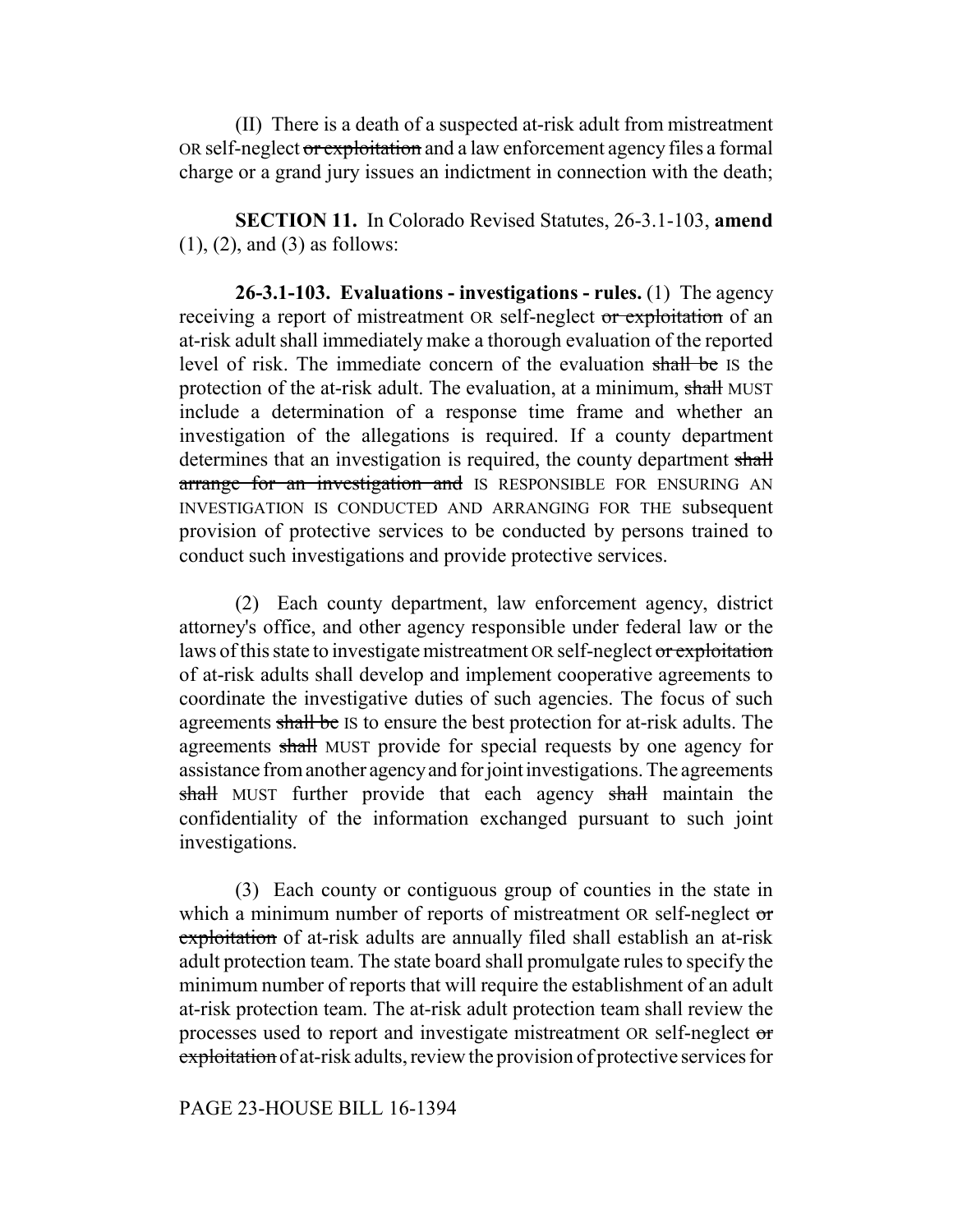(II) There is a death of a suspected at-risk adult from mistreatment OR self-neglect or exploitation and a law enforcement agency files a formal charge or a grand jury issues an indictment in connection with the death;

**SECTION 11.** In Colorado Revised Statutes, 26-3.1-103, **amend** (1), (2), and (3) as follows:

**26-3.1-103. Evaluations - investigations - rules.** (1) The agency receiving a report of mistreatment OR self-neglect or exploitation of an at-risk adult shall immediately make a thorough evaluation of the reported level of risk. The immediate concern of the evaluation shall be IS the protection of the at-risk adult. The evaluation, at a minimum, shall MUST include a determination of a response time frame and whether an investigation of the allegations is required. If a county department determines that an investigation is required, the county department shall arrange for an investigation and IS RESPONSIBLE FOR ENSURING AN INVESTIGATION IS CONDUCTED AND ARRANGING FOR THE subsequent provision of protective services to be conducted by persons trained to conduct such investigations and provide protective services.

(2) Each county department, law enforcement agency, district attorney's office, and other agency responsible under federal law or the laws of this state to investigate mistreatment OR self-neglect or exploitation of at-risk adults shall develop and implement cooperative agreements to coordinate the investigative duties of such agencies. The focus of such agreements shall be IS to ensure the best protection for at-risk adults. The agreements shall MUST provide for special requests by one agency for assistance from another agency and for joint investigations. The agreements shall MUST further provide that each agency shall maintain the confidentiality of the information exchanged pursuant to such joint investigations.

(3) Each county or contiguous group of counties in the state in which a minimum number of reports of mistreatment OR self-neglect or exploitation of at-risk adults are annually filed shall establish an at-risk adult protection team. The state board shall promulgate rules to specify the minimum number of reports that will require the establishment of an adult at-risk protection team. The at-risk adult protection team shall review the processes used to report and investigate mistreatment OR self-neglect or exploitation of at-risk adults, review the provision of protective services for

### PAGE 23-HOUSE BILL 16-1394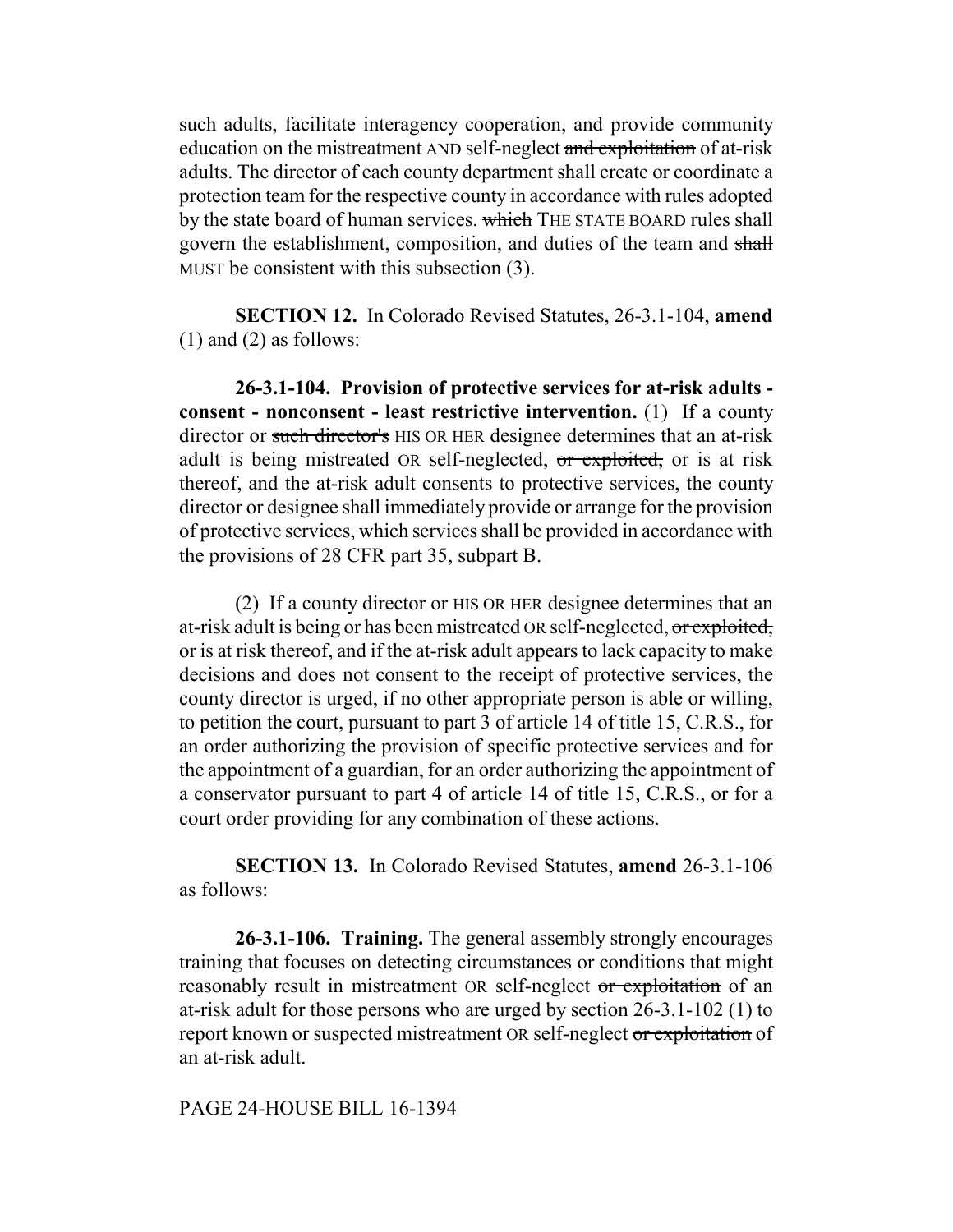such adults, facilitate interagency cooperation, and provide community education on the mistreatment AND self-neglect and exploitation of at-risk adults. The director of each county department shall create or coordinate a protection team for the respective county in accordance with rules adopted by the state board of human services. which THE STATE BOARD rules shall govern the establishment, composition, and duties of the team and shall MUST be consistent with this subsection (3).

**SECTION 12.** In Colorado Revised Statutes, 26-3.1-104, **amend**  $(1)$  and  $(2)$  as follows:

**26-3.1-104. Provision of protective services for at-risk adults consent - nonconsent - least restrictive intervention.** (1) If a county director or such director's HIS OR HER designee determines that an at-risk adult is being mistreated OR self-neglected, or exploited, or is at risk thereof, and the at-risk adult consents to protective services, the county director or designee shall immediately provide or arrange for the provision of protective services, which services shall be provided in accordance with the provisions of 28 CFR part 35, subpart B.

(2) If a county director or HIS OR HER designee determines that an at-risk adult is being or has been mistreated OR self-neglected, or exploited, or is at risk thereof, and if the at-risk adult appears to lack capacity to make decisions and does not consent to the receipt of protective services, the county director is urged, if no other appropriate person is able or willing, to petition the court, pursuant to part 3 of article 14 of title 15, C.R.S., for an order authorizing the provision of specific protective services and for the appointment of a guardian, for an order authorizing the appointment of a conservator pursuant to part 4 of article 14 of title 15, C.R.S., or for a court order providing for any combination of these actions.

**SECTION 13.** In Colorado Revised Statutes, **amend** 26-3.1-106 as follows:

**26-3.1-106. Training.** The general assembly strongly encourages training that focuses on detecting circumstances or conditions that might reasonably result in mistreatment OR self-neglect or exploitation of an at-risk adult for those persons who are urged by section 26-3.1-102 (1) to report known or suspected mistreatment OR self-neglect or exploitation of an at-risk adult.

PAGE 24-HOUSE BILL 16-1394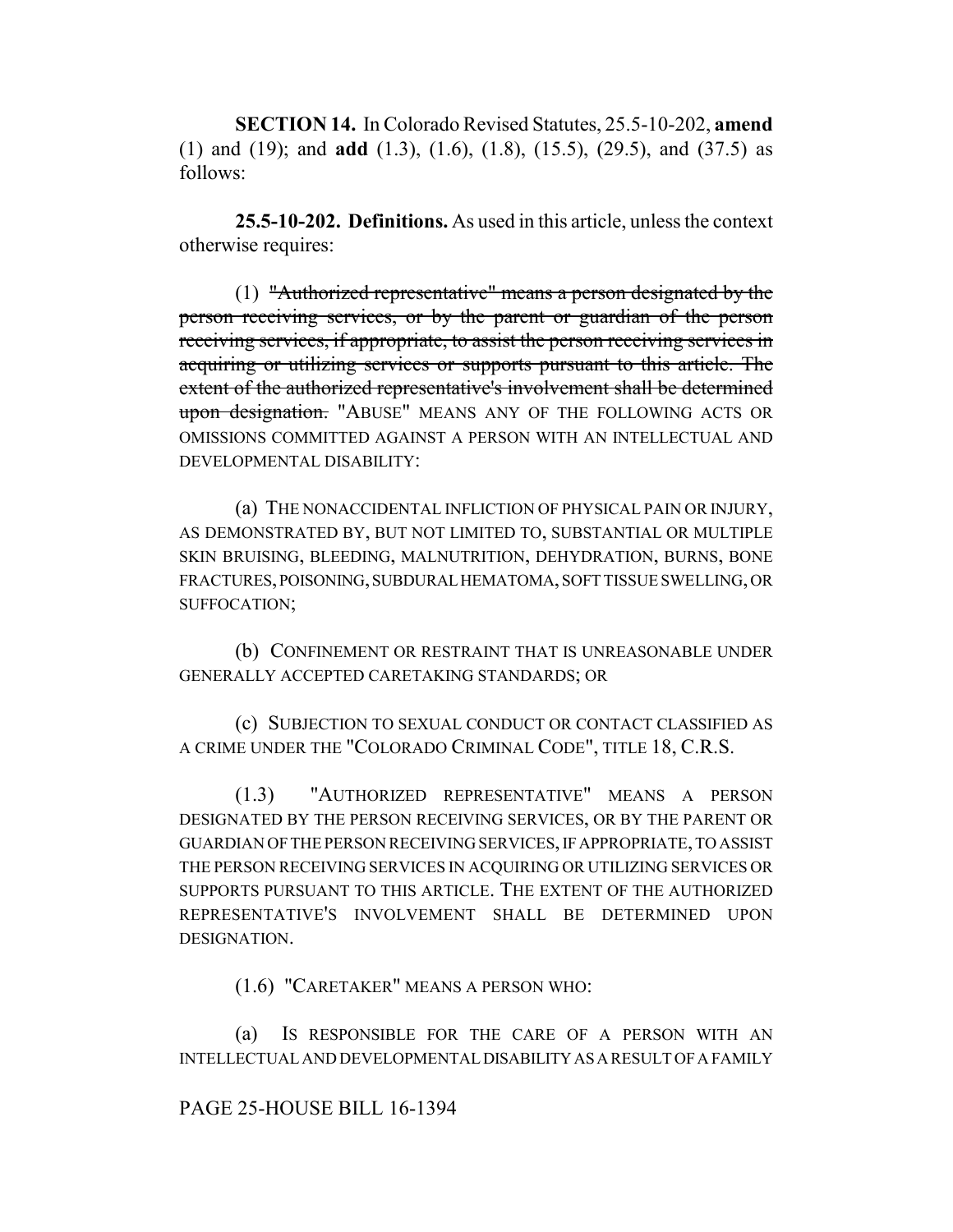**SECTION 14.** In Colorado Revised Statutes, 25.5-10-202, **amend** (1) and (19); and **add** (1.3), (1.6), (1.8), (15.5), (29.5), and (37.5) as follows:

**25.5-10-202. Definitions.** As used in this article, unless the context otherwise requires:

(1) "Authorized representative" means a person designated by the person receiving services, or by the parent or guardian of the person receiving services, if appropriate, to assist the person receiving services in acquiring or utilizing services or supports pursuant to this article. The extent of the authorized representative's involvement shall be determined upon designation. "ABUSE" MEANS ANY OF THE FOLLOWING ACTS OR OMISSIONS COMMITTED AGAINST A PERSON WITH AN INTELLECTUAL AND DEVELOPMENTAL DISABILITY:

(a) THE NONACCIDENTAL INFLICTION OF PHYSICAL PAIN OR INJURY, AS DEMONSTRATED BY, BUT NOT LIMITED TO, SUBSTANTIAL OR MULTIPLE SKIN BRUISING, BLEEDING, MALNUTRITION, DEHYDRATION, BURNS, BONE FRACTURES, POISONING, SUBDURAL HEMATOMA, SOFT TISSUE SWELLING, OR SUFFOCATION;

(b) CONFINEMENT OR RESTRAINT THAT IS UNREASONABLE UNDER GENERALLY ACCEPTED CARETAKING STANDARDS; OR

(c) SUBJECTION TO SEXUAL CONDUCT OR CONTACT CLASSIFIED AS A CRIME UNDER THE "COLORADO CRIMINAL CODE", TITLE 18, C.R.S.

(1.3) "AUTHORIZED REPRESENTATIVE" MEANS A PERSON DESIGNATED BY THE PERSON RECEIVING SERVICES, OR BY THE PARENT OR GUARDIAN OF THE PERSON RECEIVING SERVICES, IF APPROPRIATE, TO ASSIST THE PERSON RECEIVING SERVICES IN ACQUIRING OR UTILIZING SERVICES OR SUPPORTS PURSUANT TO THIS ARTICLE. THE EXTENT OF THE AUTHORIZED REPRESENTATIVE'S INVOLVEMENT SHALL BE DETERMINED UPON DESIGNATION.

(1.6) "CARETAKER" MEANS A PERSON WHO:

(a) IS RESPONSIBLE FOR THE CARE OF A PERSON WITH AN INTELLECTUAL AND DEVELOPMENTAL DISABILITY AS A RESULT OF A FAMILY

### PAGE 25-HOUSE BILL 16-1394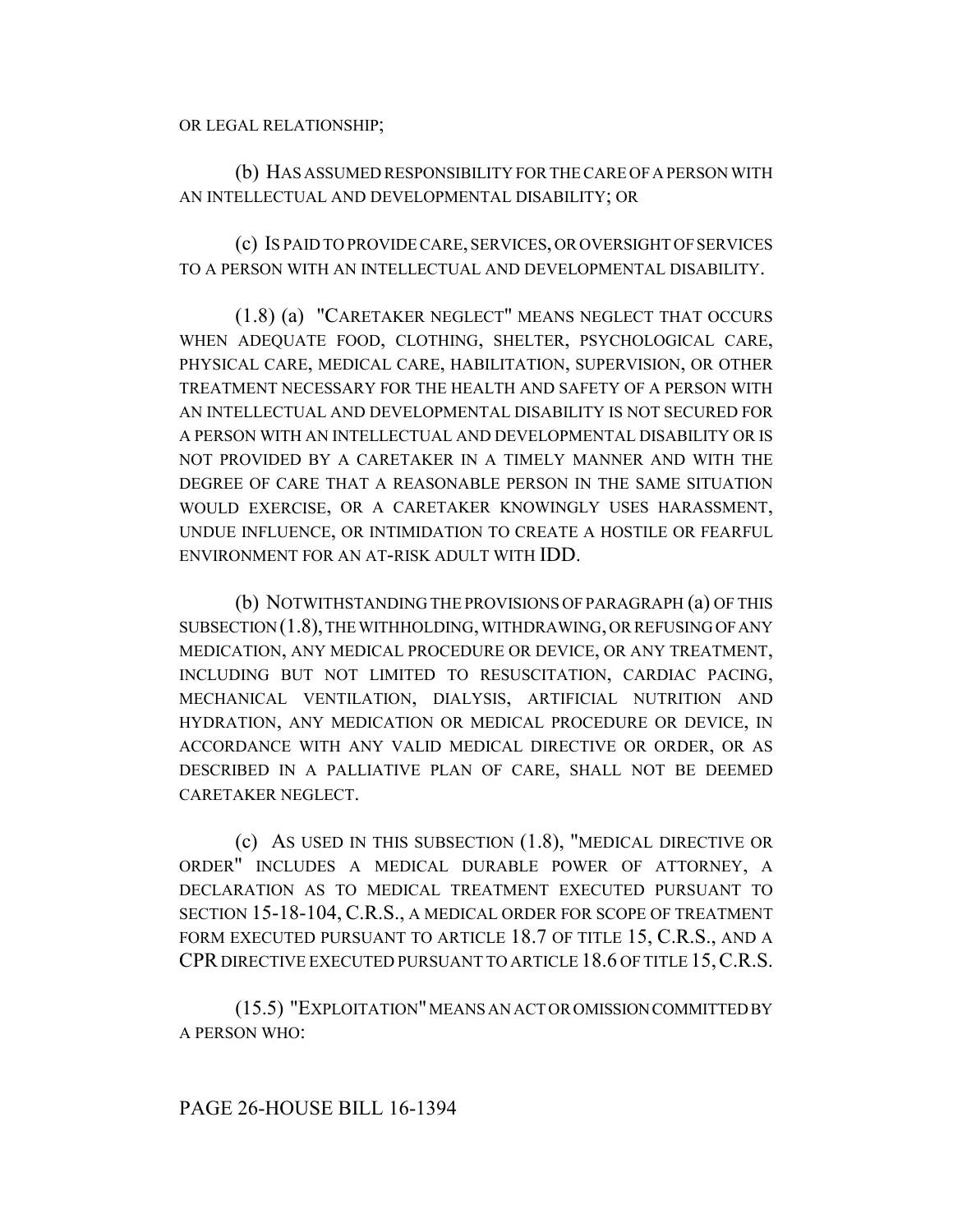OR LEGAL RELATIONSHIP;

(b) HAS ASSUMED RESPONSIBILITY FOR THE CARE OF A PERSON WITH AN INTELLECTUAL AND DEVELOPMENTAL DISABILITY; OR

(c) IS PAID TO PROVIDE CARE, SERVICES, OR OVERSIGHT OF SERVICES TO A PERSON WITH AN INTELLECTUAL AND DEVELOPMENTAL DISABILITY.

(1.8) (a) "CARETAKER NEGLECT" MEANS NEGLECT THAT OCCURS WHEN ADEQUATE FOOD, CLOTHING, SHELTER, PSYCHOLOGICAL CARE, PHYSICAL CARE, MEDICAL CARE, HABILITATION, SUPERVISION, OR OTHER TREATMENT NECESSARY FOR THE HEALTH AND SAFETY OF A PERSON WITH AN INTELLECTUAL AND DEVELOPMENTAL DISABILITY IS NOT SECURED FOR A PERSON WITH AN INTELLECTUAL AND DEVELOPMENTAL DISABILITY OR IS NOT PROVIDED BY A CARETAKER IN A TIMELY MANNER AND WITH THE DEGREE OF CARE THAT A REASONABLE PERSON IN THE SAME SITUATION WOULD EXERCISE, OR A CARETAKER KNOWINGLY USES HARASSMENT, UNDUE INFLUENCE, OR INTIMIDATION TO CREATE A HOSTILE OR FEARFUL ENVIRONMENT FOR AN AT-RISK ADULT WITH IDD.

(b) NOTWITHSTANDING THE PROVISIONS OF PARAGRAPH (a) OF THIS SUBSECTION (1.8), THE WITHHOLDING, WITHDRAWING, OR REFUSING OF ANY MEDICATION, ANY MEDICAL PROCEDURE OR DEVICE, OR ANY TREATMENT, INCLUDING BUT NOT LIMITED TO RESUSCITATION, CARDIAC PACING, MECHANICAL VENTILATION, DIALYSIS, ARTIFICIAL NUTRITION AND HYDRATION, ANY MEDICATION OR MEDICAL PROCEDURE OR DEVICE, IN ACCORDANCE WITH ANY VALID MEDICAL DIRECTIVE OR ORDER, OR AS DESCRIBED IN A PALLIATIVE PLAN OF CARE, SHALL NOT BE DEEMED CARETAKER NEGLECT.

(c) AS USED IN THIS SUBSECTION (1.8), "MEDICAL DIRECTIVE OR ORDER" INCLUDES A MEDICAL DURABLE POWER OF ATTORNEY, A DECLARATION AS TO MEDICAL TREATMENT EXECUTED PURSUANT TO SECTION 15-18-104, C.R.S., A MEDICAL ORDER FOR SCOPE OF TREATMENT FORM EXECUTED PURSUANT TO ARTICLE 18.7 OF TITLE 15, C.R.S., AND A CPR DIRECTIVE EXECUTED PURSUANT TO ARTICLE 18.6 OF TITLE 15,C.R.S.

(15.5) "EXPLOITATION" MEANS AN ACT OR OMISSION COMMITTED BY A PERSON WHO: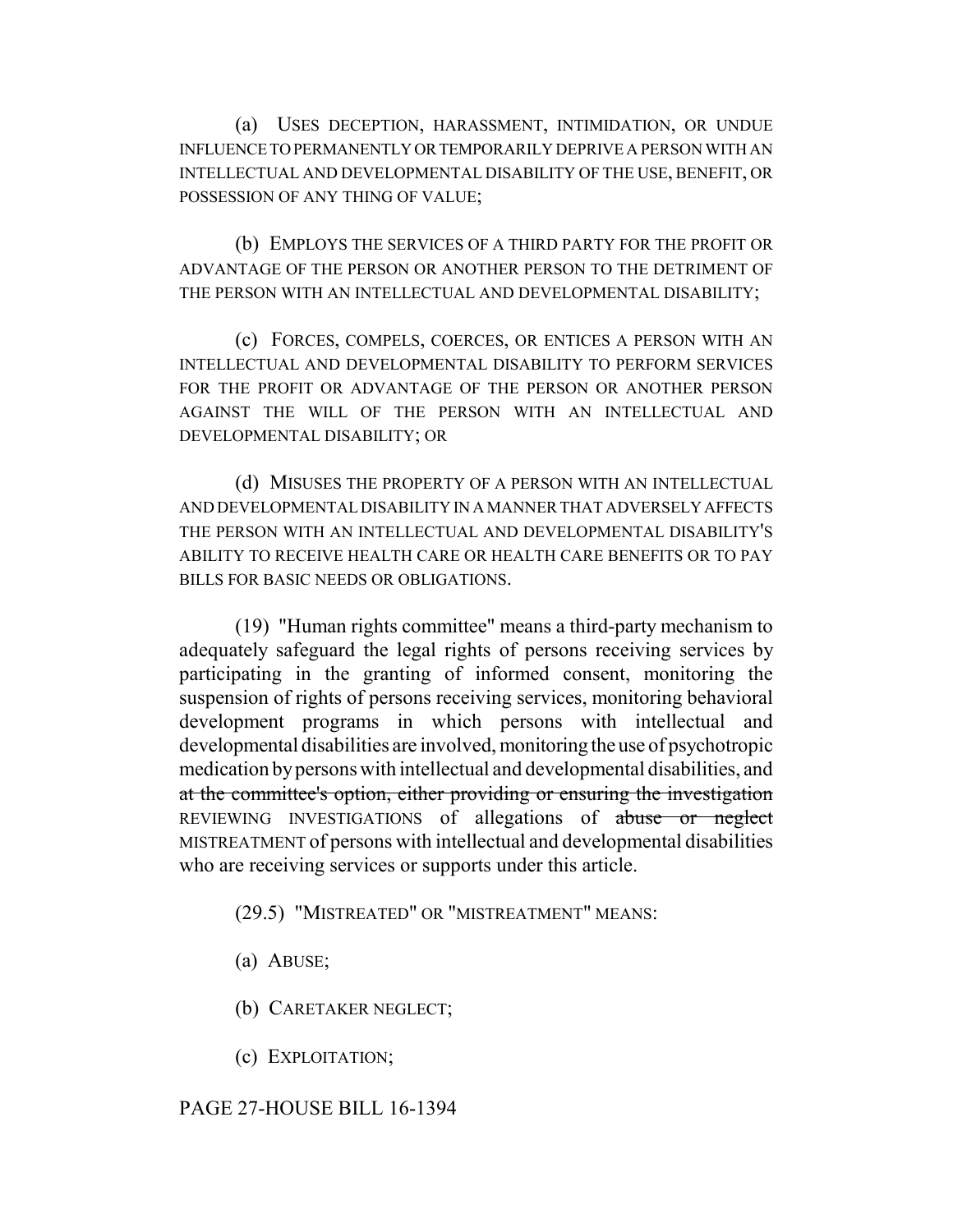(a) USES DECEPTION, HARASSMENT, INTIMIDATION, OR UNDUE INFLUENCE TO PERMANENTLY OR TEMPORARILY DEPRIVE A PERSON WITH AN INTELLECTUAL AND DEVELOPMENTAL DISABILITY OF THE USE, BENEFIT, OR POSSESSION OF ANY THING OF VALUE;

(b) EMPLOYS THE SERVICES OF A THIRD PARTY FOR THE PROFIT OR ADVANTAGE OF THE PERSON OR ANOTHER PERSON TO THE DETRIMENT OF THE PERSON WITH AN INTELLECTUAL AND DEVELOPMENTAL DISABILITY;

(c) FORCES, COMPELS, COERCES, OR ENTICES A PERSON WITH AN INTELLECTUAL AND DEVELOPMENTAL DISABILITY TO PERFORM SERVICES FOR THE PROFIT OR ADVANTAGE OF THE PERSON OR ANOTHER PERSON AGAINST THE WILL OF THE PERSON WITH AN INTELLECTUAL AND DEVELOPMENTAL DISABILITY; OR

(d) MISUSES THE PROPERTY OF A PERSON WITH AN INTELLECTUAL AND DEVELOPMENTAL DISABILITY IN A MANNER THAT ADVERSELY AFFECTS THE PERSON WITH AN INTELLECTUAL AND DEVELOPMENTAL DISABILITY'S ABILITY TO RECEIVE HEALTH CARE OR HEALTH CARE BENEFITS OR TO PAY BILLS FOR BASIC NEEDS OR OBLIGATIONS.

(19) "Human rights committee" means a third-party mechanism to adequately safeguard the legal rights of persons receiving services by participating in the granting of informed consent, monitoring the suspension of rights of persons receiving services, monitoring behavioral development programs in which persons with intellectual and developmental disabilities are involved, monitoring the use of psychotropic medication by persons with intellectual and developmental disabilities, and at the committee's option, either providing or ensuring the investigation REVIEWING INVESTIGATIONS of allegations of abuse or neglect MISTREATMENT of persons with intellectual and developmental disabilities who are receiving services or supports under this article.

(29.5) "MISTREATED" OR "MISTREATMENT" MEANS:

- (a) ABUSE;
- (b) CARETAKER NEGLECT;
- (c) EXPLOITATION;

### PAGE 27-HOUSE BILL 16-1394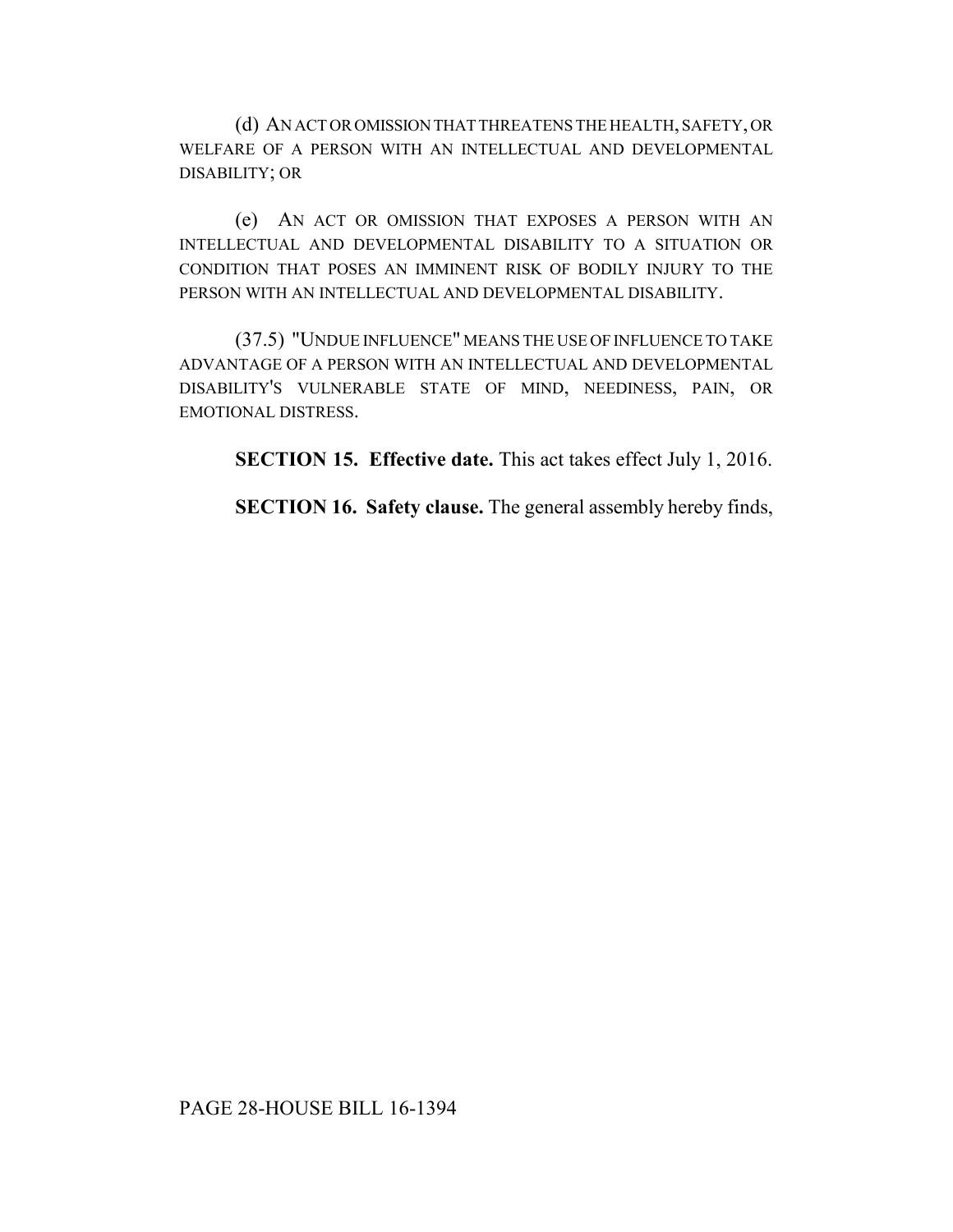(d) AN ACT OR OMISSION THAT THREATENS THE HEALTH, SAFETY, OR WELFARE OF A PERSON WITH AN INTELLECTUAL AND DEVELOPMENTAL DISABILITY; OR

(e) AN ACT OR OMISSION THAT EXPOSES A PERSON WITH AN INTELLECTUAL AND DEVELOPMENTAL DISABILITY TO A SITUATION OR CONDITION THAT POSES AN IMMINENT RISK OF BODILY INJURY TO THE PERSON WITH AN INTELLECTUAL AND DEVELOPMENTAL DISABILITY.

(37.5) "UNDUE INFLUENCE" MEANS THE USE OF INFLUENCE TO TAKE ADVANTAGE OF A PERSON WITH AN INTELLECTUAL AND DEVELOPMENTAL DISABILITY'S VULNERABLE STATE OF MIND, NEEDINESS, PAIN, OR EMOTIONAL DISTRESS.

**SECTION 15. Effective date.** This act takes effect July 1, 2016.

**SECTION 16. Safety clause.** The general assembly hereby finds,